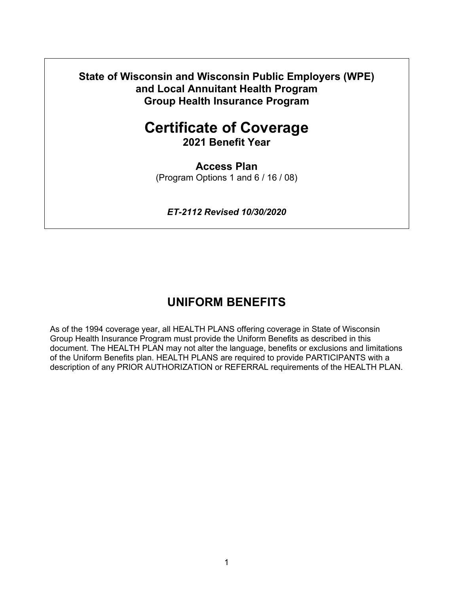**State of Wisconsin and Wisconsin Public Employers (WPE) and Local Annuitant Health Program Group Health Insurance Program**

# **Certificate of Coverage**

**2021 Benefit Year**

**Access Plan** (Program Options 1 and 6 / 16 / 08)

*ET-2112 Revised 10/30/2020*

## **UNIFORM BENEFITS**

As of the 1994 coverage year, all HEALTH PLANS offering coverage in State of Wisconsin Group Health Insurance Program must provide the Uniform Benefits as described in this document. The HEALTH PLAN may not alter the language, benefits or exclusions and limitations of the Uniform Benefits plan. HEALTH PLANS are required to provide PARTICIPANTS with a description of any PRIOR AUTHORIZATION or REFERRAL requirements of the HEALTH PLAN.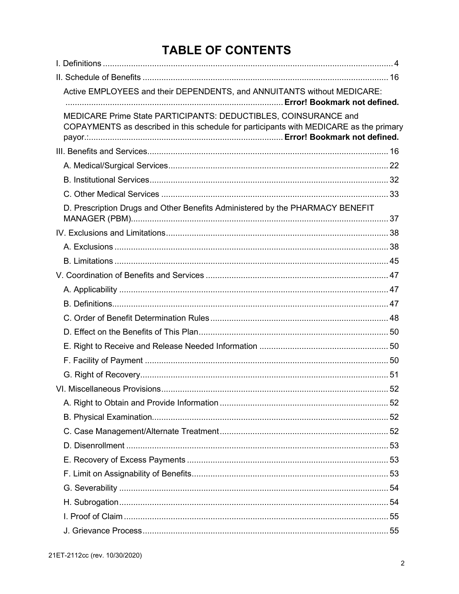# **TABLE OF CONTENTS**

| Active EMPLOYEES and their DEPENDENTS, and ANNUITANTS without MEDICARE:                                                                                   |    |
|-----------------------------------------------------------------------------------------------------------------------------------------------------------|----|
| MEDICARE Prime State PARTICIPANTS: DEDUCTIBLES, COINSURANCE and<br>COPAYMENTS as described in this schedule for participants with MEDICARE as the primary |    |
|                                                                                                                                                           |    |
|                                                                                                                                                           |    |
|                                                                                                                                                           |    |
|                                                                                                                                                           |    |
| D. Prescription Drugs and Other Benefits Administered by the PHARMACY BENEFIT                                                                             |    |
|                                                                                                                                                           |    |
|                                                                                                                                                           |    |
|                                                                                                                                                           |    |
|                                                                                                                                                           |    |
|                                                                                                                                                           |    |
|                                                                                                                                                           |    |
|                                                                                                                                                           |    |
|                                                                                                                                                           |    |
|                                                                                                                                                           |    |
|                                                                                                                                                           |    |
|                                                                                                                                                           |    |
|                                                                                                                                                           |    |
|                                                                                                                                                           |    |
|                                                                                                                                                           |    |
|                                                                                                                                                           |    |
|                                                                                                                                                           |    |
|                                                                                                                                                           |    |
|                                                                                                                                                           |    |
|                                                                                                                                                           |    |
|                                                                                                                                                           |    |
|                                                                                                                                                           |    |
|                                                                                                                                                           | 55 |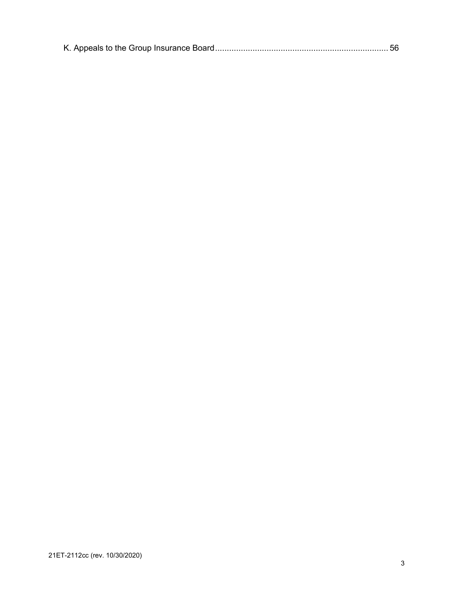|--|--|--|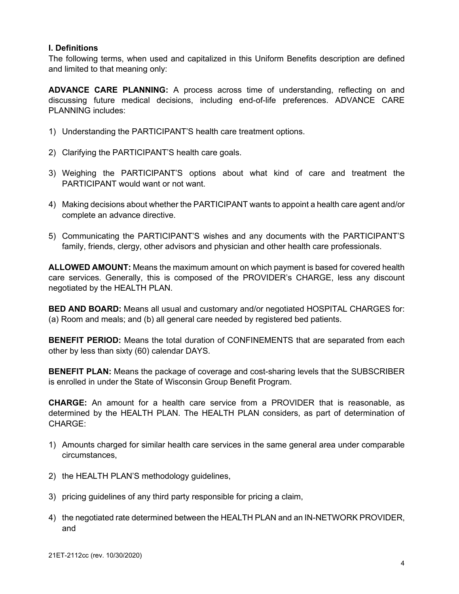#### <span id="page-3-0"></span>**I. Definitions**

The following terms, when used and capitalized in this Uniform Benefits description are defined and limited to that meaning only:

**ADVANCE CARE PLANNING:** A process across time of understanding, reflecting on and discussing future medical decisions, including end-of-life preferences. ADVANCE CARE PLANNING includes:

- 1) Understanding the PARTICIPANT'S health care treatment options.
- 2) Clarifying the PARTICIPANT'S health care goals.
- 3) Weighing the PARTICIPANT'S options about what kind of care and treatment the PARTICIPANT would want or not want.
- 4) Making decisions about whether the PARTICIPANT wants to appoint a health care agent and/or complete an advance directive.
- 5) Communicating the PARTICIPANT'S wishes and any documents with the PARTICIPANT'S family, friends, clergy, other advisors and physician and other health care professionals.

**ALLOWED AMOUNT:** Means the maximum amount on which payment is based for covered health care services. Generally, this is composed of the PROVIDER's CHARGE, less any discount negotiated by the HEALTH PLAN.

**BED AND BOARD:** Means all usual and customary and/or negotiated HOSPITAL CHARGES for: (a) Room and meals; and (b) all general care needed by registered bed patients.

**BENEFIT PERIOD:** Means the total duration of CONFINEMENTS that are separated from each other by less than sixty (60) calendar DAYS.

**BENEFIT PLAN:** Means the package of coverage and cost-sharing levels that the SUBSCRIBER is enrolled in under the State of Wisconsin Group Benefit Program.

**CHARGE:** An amount for a health care service from a PROVIDER that is reasonable, as determined by the HEALTH PLAN. The HEALTH PLAN considers, as part of determination of CHARGE:

- 1) Amounts charged for similar health care services in the same general area under comparable circumstances,
- 2) the HEALTH PLAN'S methodology guidelines,
- 3) pricing guidelines of any third party responsible for pricing a claim,
- 4) the negotiated rate determined between the HEALTH PLAN and an IN-NETWORK PROVIDER, and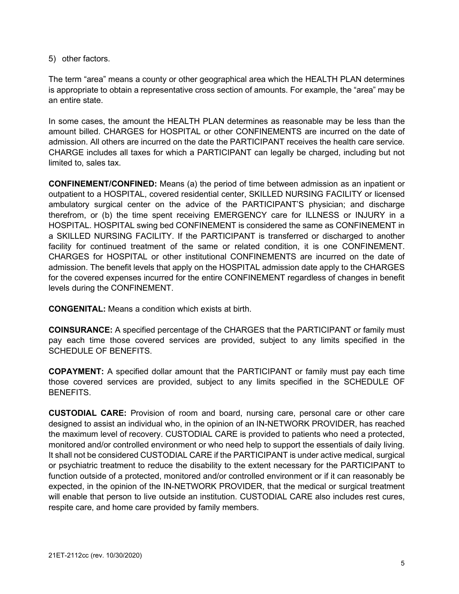5) other factors.

The term "area" means a county or other geographical area which the HEALTH PLAN determines is appropriate to obtain a representative cross section of amounts. For example, the "area" may be an entire state.

In some cases, the amount the HEALTH PLAN determines as reasonable may be less than the amount billed. CHARGES for HOSPITAL or other CONFINEMENTS are incurred on the date of admission. All others are incurred on the date the PARTICIPANT receives the health care service. CHARGE includes all taxes for which a PARTICIPANT can legally be charged, including but not limited to, sales tax.

**CONFINEMENT/CONFINED:** Means (a) the period of time between admission as an inpatient or outpatient to a HOSPITAL, covered residential center, SKILLED NURSING FACILITY or licensed ambulatory surgical center on the advice of the PARTICIPANT'S physician; and discharge therefrom, or (b) the time spent receiving EMERGENCY care for ILLNESS or INJURY in a HOSPITAL. HOSPITAL swing bed CONFINEMENT is considered the same as CONFINEMENT in a SKILLED NURSING FACILITY. If the PARTICIPANT is transferred or discharged to another facility for continued treatment of the same or related condition, it is one CONFINEMENT. CHARGES for HOSPITAL or other institutional CONFINEMENTS are incurred on the date of admission. The benefit levels that apply on the HOSPITAL admission date apply to the CHARGES for the covered expenses incurred for the entire CONFINEMENT regardless of changes in benefit levels during the CONFINEMENT.

**CONGENITAL:** Means a condition which exists at birth.

**COINSURANCE:** A specified percentage of the CHARGES that the PARTICIPANT or family must pay each time those covered services are provided, subject to any limits specified in the SCHEDULE OF BENEFITS.

**COPAYMENT:** A specified dollar amount that the PARTICIPANT or family must pay each time those covered services are provided, subject to any limits specified in the SCHEDULE OF BENEFITS.

**CUSTODIAL CARE:** Provision of room and board, nursing care, personal care or other care designed to assist an individual who, in the opinion of an IN-NETWORK PROVIDER, has reached the maximum level of recovery. CUSTODIAL CARE is provided to patients who need a protected, monitored and/or controlled environment or who need help to support the essentials of daily living. It shall not be considered CUSTODIAL CARE if the PARTICIPANT is under active medical, surgical or psychiatric treatment to reduce the disability to the extent necessary for the PARTICIPANT to function outside of a protected, monitored and/or controlled environment or if it can reasonably be expected, in the opinion of the IN-NETWORK PROVIDER, that the medical or surgical treatment will enable that person to live outside an institution. CUSTODIAL CARE also includes rest cures, respite care, and home care provided by family members.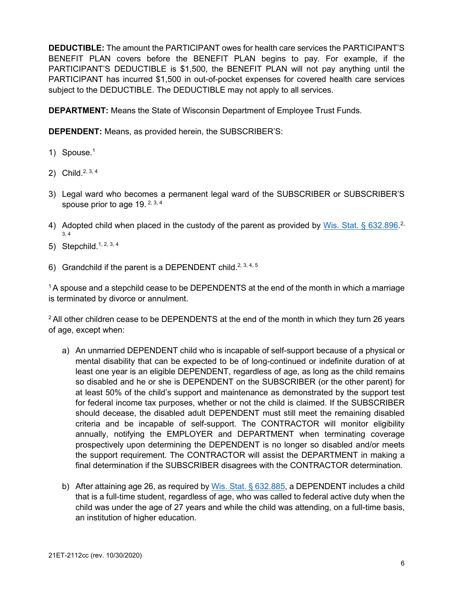**DEDUCTIBLE:** The amount the PARTICIPANT owes for health care services the PARTICIPANT'S BENEFIT PLAN covers before the BENEFIT PLAN begins to pay. For example, if the PARTICIPANT'S DEDUCTIBLE is \$1,500, the BENEFIT PLAN will not pay anything until the PARTICIPANT has incurred \$1,500 in out-of-pocket expenses for covered health care services subject to the DEDUCTIBLE. The DEDUCTIBLE may not apply to all services.

**DEPARTMENT:** Means the State of Wisconsin Department of Employee Trust Funds.

**DEPENDENT:** Means, as provided herein, the SUBSCRIBER'S:

- 1) Spouse.<sup>1</sup>
- 2) Child.<sup>2, 3, 4</sup>
- 3) Legal ward who becomes a permanent legal ward of the SUBSCRIBER or SUBSCRIBER'S spouse prior to age 19.  $2, 3, 4$
- 4) Adopted child when placed in the custody of the parent as provided by [Wis. Stat. § 632.896.](https://docs.legis.wisconsin.gov/statutes/statutes/632/VI/896)<sup>2,</sup> 3, 4
- 5) Stepchild.1, 2, 3, 4
- 6) Grandchild if the parent is a DEPENDENT child.<sup>2, 3, 4, 5</sup>

 $1$ A spouse and a stepchild cease to be DEPENDENTS at the end of the month in which a marriage is terminated by divorce or annulment.

 $2$  All other children cease to be DEPENDENTS at the end of the month in which they turn 26 years of age, except when:

- a) An unmarried DEPENDENT child who is incapable of self-support because of a physical or mental disability that can be expected to be of long-continued or indefinite duration of at least one year is an eligible DEPENDENT, regardless of age, as long as the child remains so disabled and he or she is DEPENDENT on the SUBSCRIBER (or the other parent) for at least 50% of the child's support and maintenance as demonstrated by the support test for federal income tax purposes, whether or not the child is claimed. If the SUBSCRIBER should decease, the disabled adult DEPENDENT must still meet the remaining disabled criteria and be incapable of self-support. The CONTRACTOR will monitor eligibility annually, notifying the EMPLOYER and DEPARTMENT when terminating coverage prospectively upon determining the DEPENDENT is no longer so disabled and/or meets the support requirement. The CONTRACTOR will assist the DEPARTMENT in making a final determination if the SUBSCRIBER disagrees with the CONTRACTOR determination.
- b) After attaining age 26, as required by [Wis. Stat. § 632.885,](https://docs.legis.wisconsin.gov/statutes/statutes/632/VI/885) a DEPENDENT includes a child that is a full-time student, regardless of age, who was called to federal active duty when the child was under the age of 27 years and while the child was attending, on a full-time basis, an institution of higher education.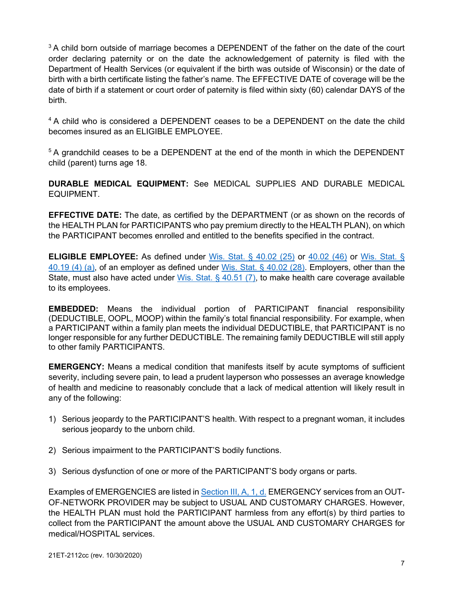<sup>3</sup> A child born outside of marriage becomes a DEPENDENT of the father on the date of the court order declaring paternity or on the date the acknowledgement of paternity is filed with the Department of Health Services (or equivalent if the birth was outside of Wisconsin) or the date of birth with a birth certificate listing the father's name. The EFFECTIVE DATE of coverage will be the date of birth if a statement or court order of paternity is filed within sixty (60) calendar DAYS of the birth.

<sup>4</sup> A child who is considered a DEPENDENT ceases to be a DEPENDENT on the date the child becomes insured as an ELIGIBLE EMPLOYEE.

<sup>5</sup> A grandchild ceases to be a DEPENDENT at the end of the month in which the DEPENDENT child (parent) turns age 18.

**DURABLE MEDICAL EQUIPMENT:** See MEDICAL SUPPLIES AND DURABLE MEDICAL EQUIPMENT.

**EFFECTIVE DATE:** The date, as certified by the DEPARTMENT (or as shown on the records of the HEALTH PLAN for PARTICIPANTS who pay premium directly to the HEALTH PLAN), on which the PARTICIPANT becomes enrolled and entitled to the benefits specified in the contract.

**ELIGIBLE EMPLOYEE:** As defined under [Wis. Stat. § 40.02 \(25\)](https://docs.legis.wisconsin.gov/document/statutes/40.02(25)) or [40.02 \(46\)](https://docs.legis.wisconsin.gov/document/statutes/40.02(46)) or [Wis. Stat. §](https://docs.legis.wisconsin.gov/document/statutes/40.19(4)(a))  [40.19 \(4\) \(a\),](https://docs.legis.wisconsin.gov/document/statutes/40.19(4)(a)) of an employer as defined under [Wis. Stat. § 40.02 \(28\).](http://docs.legis.wisconsin.gov/statutes/statutes/40/I/02/28) Employers, other than the State, must also have acted under [Wis. Stat. § 40.51 \(7\),](https://docs.legis.wisconsin.gov/statutes/statutes/40/IV/51/7) to make health care coverage available to its employees.

**EMBEDDED:** Means the individual portion of PARTICIPANT financial responsibility (DEDUCTIBLE, OOPL, MOOP) within the family's total financial responsibility. For example, when a PARTICIPANT within a family plan meets the individual DEDUCTIBLE, that PARTICIPANT is no longer responsible for any further DEDUCTIBLE. The remaining family DEDUCTIBLE will still apply to other family PARTICIPANTS.

**EMERGENCY:** Means a medical condition that manifests itself by acute symptoms of sufficient severity, including severe pain, to lead a prudent layperson who possesses an average knowledge of health and medicine to reasonably conclude that a lack of medical attention will likely result in any of the following:

- 1) Serious jeopardy to the PARTICIPANT'S health. With respect to a pregnant woman, it includes serious jeopardy to the unborn child.
- 2) Serious impairment to the PARTICIPANT'S bodily functions.
- 3) Serious dysfunction of one or more of the PARTICIPANT'S body organs or parts.

Examples of EMERGENCIES are listed in [Section III, A, 1, d.](#page-21-1) EMERGENCY services from an OUT-OF-NETWORK PROVIDER may be subject to USUAL AND CUSTOMARY CHARGES. However, the HEALTH PLAN must hold the PARTICIPANT harmless from any effort(s) by third parties to collect from the PARTICIPANT the amount above the USUAL AND CUSTOMARY CHARGES for medical/HOSPITAL services.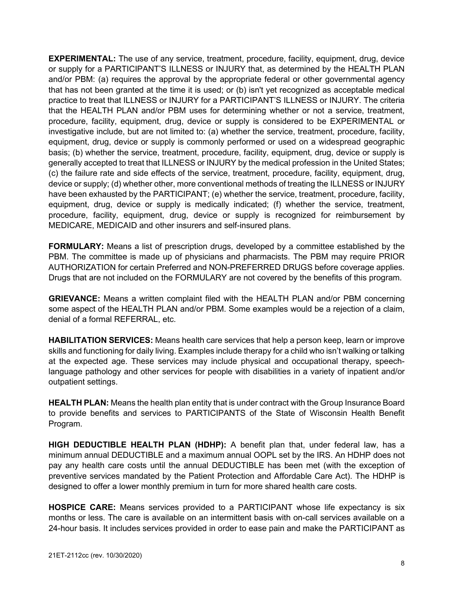**EXPERIMENTAL:** The use of any service, treatment, procedure, facility, equipment, drug, device or supply for a PARTICIPANT'S ILLNESS or INJURY that, as determined by the HEALTH PLAN and/or PBM: (a) requires the approval by the appropriate federal or other governmental agency that has not been granted at the time it is used; or (b) isn't yet recognized as acceptable medical practice to treat that ILLNESS or INJURY for a PARTICIPANT'S ILLNESS or INJURY. The criteria that the HEALTH PLAN and/or PBM uses for determining whether or not a service, treatment, procedure, facility, equipment, drug, device or supply is considered to be EXPERIMENTAL or investigative include, but are not limited to: (a) whether the service, treatment, procedure, facility, equipment, drug, device or supply is commonly performed or used on a widespread geographic basis; (b) whether the service, treatment, procedure, facility, equipment, drug, device or supply is generally accepted to treat that ILLNESS or INJURY by the medical profession in the United States; (c) the failure rate and side effects of the service, treatment, procedure, facility, equipment, drug, device or supply; (d) whether other, more conventional methods of treating the ILLNESS or INJURY have been exhausted by the PARTICIPANT; (e) whether the service, treatment, procedure, facility, equipment, drug, device or supply is medically indicated; (f) whether the service, treatment, procedure, facility, equipment, drug, device or supply is recognized for reimbursement by MEDICARE, MEDICAID and other insurers and self-insured plans.

**FORMULARY:** Means a list of prescription drugs, developed by a committee established by the PBM. The committee is made up of physicians and pharmacists. The PBM may require PRIOR AUTHORIZATION for certain Preferred and NON-PREFERRED DRUGS before coverage applies. Drugs that are not included on the FORMULARY are not covered by the benefits of this program.

**GRIEVANCE:** Means a written complaint filed with the HEALTH PLAN and/or PBM concerning some aspect of the HEALTH PLAN and/or PBM. Some examples would be a rejection of a claim, denial of a formal REFERRAL, etc.

**HABILITATION SERVICES:** Means health care services that help a person keep, learn or improve skills and functioning for daily living. Examples include therapy for a child who isn't walking or talking at the expected age. These services may include physical and occupational therapy, speechlanguage pathology and other services for people with disabilities in a variety of inpatient and/or outpatient settings.

**HEALTH PLAN:** Means the health plan entity that is under contract with the Group Insurance Board to provide benefits and services to PARTICIPANTS of the State of Wisconsin Health Benefit Program.

**HIGH DEDUCTIBLE HEALTH PLAN (HDHP):** A benefit plan that, under federal law, has a minimum annual DEDUCTIBLE and a maximum annual OOPL set by the IRS. An HDHP does not pay any health care costs until the annual DEDUCTIBLE has been met (with the exception of preventive services mandated by the Patient Protection and Affordable Care Act). The HDHP is designed to offer a lower monthly premium in turn for more shared health care costs.

**HOSPICE CARE:** Means services provided to a PARTICIPANT whose life expectancy is six months or less. The care is available on an intermittent basis with on-call services available on a 24-hour basis. It includes services provided in order to ease pain and make the PARTICIPANT as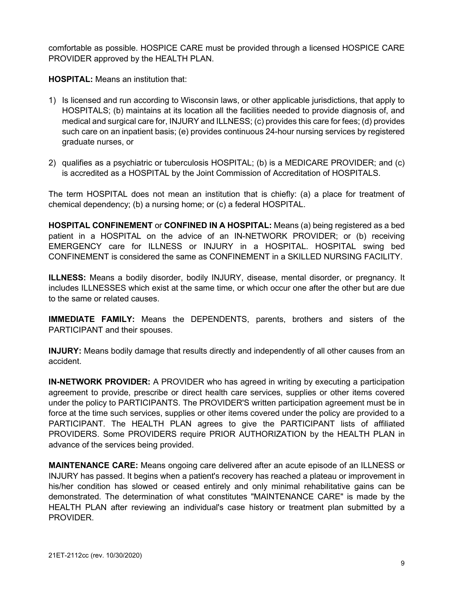comfortable as possible. HOSPICE CARE must be provided through a licensed HOSPICE CARE PROVIDER approved by the HEALTH PLAN.

**HOSPITAL:** Means an institution that:

- 1) Is licensed and run according to Wisconsin laws, or other applicable jurisdictions, that apply to HOSPITALS; (b) maintains at its location all the facilities needed to provide diagnosis of, and medical and surgical care for, INJURY and ILLNESS; (c) provides this care for fees; (d) provides such care on an inpatient basis; (e) provides continuous 24-hour nursing services by registered graduate nurses, or
- 2) qualifies as a psychiatric or tuberculosis HOSPITAL; (b) is a MEDICARE PROVIDER; and (c) is accredited as a HOSPITAL by the Joint Commission of Accreditation of HOSPITALS.

The term HOSPITAL does not mean an institution that is chiefly: (a) a place for treatment of chemical dependency; (b) a nursing home; or (c) a federal HOSPITAL.

**HOSPITAL CONFINEMENT** or **CONFINED IN A HOSPITAL:** Means (a) being registered as a bed patient in a HOSPITAL on the advice of an IN-NETWORK PROVIDER; or (b) receiving EMERGENCY care for ILLNESS or INJURY in a HOSPITAL. HOSPITAL swing bed CONFINEMENT is considered the same as CONFINEMENT in a SKILLED NURSING FACILITY.

**ILLNESS:** Means a bodily disorder, bodily INJURY, disease, mental disorder, or pregnancy. It includes ILLNESSES which exist at the same time, or which occur one after the other but are due to the same or related causes.

**IMMEDIATE FAMILY:** Means the DEPENDENTS, parents, brothers and sisters of the PARTICIPANT and their spouses.

**INJURY:** Means bodily damage that results directly and independently of all other causes from an accident.

**IN-NETWORK PROVIDER:** A PROVIDER who has agreed in writing by executing a participation agreement to provide, prescribe or direct health care services, supplies or other items covered under the policy to PARTICIPANTS. The PROVIDER'S written participation agreement must be in force at the time such services, supplies or other items covered under the policy are provided to a PARTICIPANT. The HEALTH PLAN agrees to give the PARTICIPANT lists of affiliated PROVIDERS. Some PROVIDERS require PRIOR AUTHORIZATION by the HEALTH PLAN in advance of the services being provided.

**MAINTENANCE CARE:** Means ongoing care delivered after an acute episode of an ILLNESS or INJURY has passed. It begins when a patient's recovery has reached a plateau or improvement in his/her condition has slowed or ceased entirely and only minimal rehabilitative gains can be demonstrated. The determination of what constitutes "MAINTENANCE CARE" is made by the HEALTH PLAN after reviewing an individual's case history or treatment plan submitted by a PROVIDER.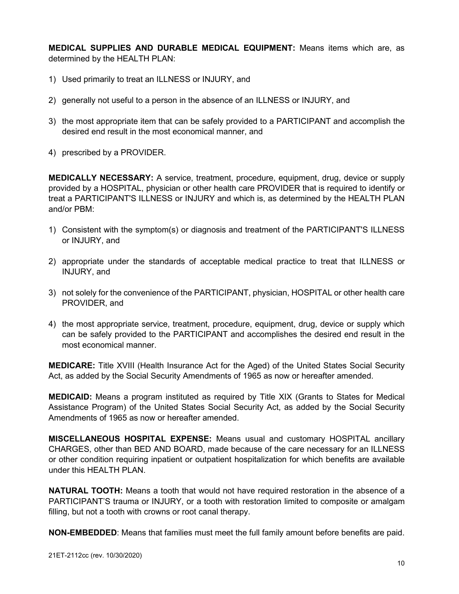**MEDICAL SUPPLIES AND DURABLE MEDICAL EQUIPMENT:** Means items which are, as determined by the HEALTH PLAN:

- 1) Used primarily to treat an ILLNESS or INJURY, and
- 2) generally not useful to a person in the absence of an ILLNESS or INJURY, and
- 3) the most appropriate item that can be safely provided to a PARTICIPANT and accomplish the desired end result in the most economical manner, and
- 4) prescribed by a PROVIDER.

**MEDICALLY NECESSARY:** A service, treatment, procedure, equipment, drug, device or supply provided by a HOSPITAL, physician or other health care PROVIDER that is required to identify or treat a PARTICIPANT'S ILLNESS or INJURY and which is, as determined by the HEALTH PLAN and/or PBM:

- 1) Consistent with the symptom(s) or diagnosis and treatment of the PARTICIPANT'S ILLNESS or INJURY, and
- 2) appropriate under the standards of acceptable medical practice to treat that ILLNESS or INJURY, and
- 3) not solely for the convenience of the PARTICIPANT, physician, HOSPITAL or other health care PROVIDER, and
- 4) the most appropriate service, treatment, procedure, equipment, drug, device or supply which can be safely provided to the PARTICIPANT and accomplishes the desired end result in the most economical manner.

**MEDICARE:** Title XVIII (Health Insurance Act for the Aged) of the United States Social Security Act, as added by the Social Security Amendments of 1965 as now or hereafter amended.

**MEDICAID:** Means a program instituted as required by Title XIX (Grants to States for Medical Assistance Program) of the United States Social Security Act, as added by the Social Security Amendments of 1965 as now or hereafter amended.

**MISCELLANEOUS HOSPITAL EXPENSE:** Means usual and customary HOSPITAL ancillary CHARGES, other than BED AND BOARD, made because of the care necessary for an ILLNESS or other condition requiring inpatient or outpatient hospitalization for which benefits are available under this HEALTH PLAN.

**NATURAL TOOTH:** Means a tooth that would not have required restoration in the absence of a PARTICIPANT'S trauma or INJURY, or a tooth with restoration limited to composite or amalgam filling, but not a tooth with crowns or root canal therapy.

**NON-EMBEDDED**: Means that families must meet the full family amount before benefits are paid.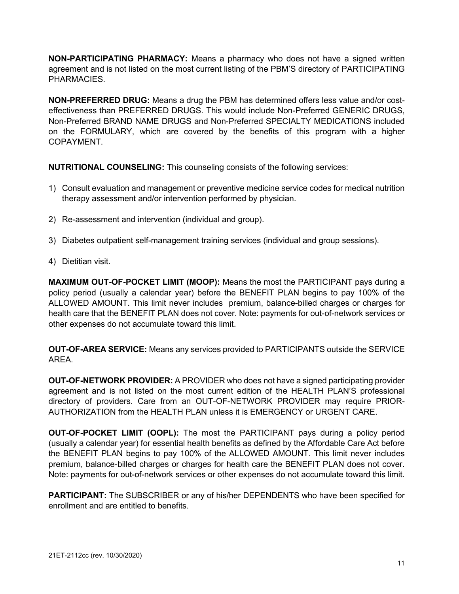**NON-PARTICIPATING PHARMACY:** Means a pharmacy who does not have a signed written agreement and is not listed on the most current listing of the PBM'S directory of PARTICIPATING PHARMACIES.

**NON-PREFERRED DRUG:** Means a drug the PBM has determined offers less value and/or costeffectiveness than PREFERRED DRUGS. This would include Non-Preferred GENERIC DRUGS, Non-Preferred BRAND NAME DRUGS and Non-Preferred SPECIALTY MEDICATIONS included on the FORMULARY, which are covered by the benefits of this program with a higher COPAYMENT.

**NUTRITIONAL COUNSELING:** This counseling consists of the following services:

- 1) Consult evaluation and management or preventive medicine service codes for medical nutrition therapy assessment and/or intervention performed by physician.
- 2) Re-assessment and intervention (individual and group).
- 3) Diabetes outpatient self-management training services (individual and group sessions).
- 4) Dietitian visit.

**MAXIMUM OUT-OF-POCKET LIMIT (MOOP):** Means the most the PARTICIPANT pays during a policy period (usually a calendar year) before the BENEFIT PLAN begins to pay 100% of the ALLOWED AMOUNT. This limit never includes premium, balance-billed charges or charges for health care that the BENEFIT PLAN does not cover. Note: payments for out-of-network services or other expenses do not accumulate toward this limit.

**OUT-OF-AREA SERVICE:** Means any services provided to PARTICIPANTS outside the SERVICE AREA.

**OUT-OF-NETWORK PROVIDER:** A PROVIDER who does not have a signed participating provider agreement and is not listed on the most current edition of the HEALTH PLAN'S professional directory of providers. Care from an OUT-OF-NETWORK PROVIDER may require PRIOR-AUTHORIZATION from the HEALTH PLAN unless it is EMERGENCY or URGENT CARE.

**OUT-OF-POCKET LIMIT (OOPL):** The most the PARTICIPANT pays during a policy period (usually a calendar year) for essential health benefits as defined by the Affordable Care Act before the BENEFIT PLAN begins to pay 100% of the ALLOWED AMOUNT. This limit never includes premium, balance-billed charges or charges for health care the BENEFIT PLAN does not cover. Note: payments for out-of-network services or other expenses do not accumulate toward this limit.

**PARTICIPANT:** The SUBSCRIBER or any of his/her DEPENDENTS who have been specified for enrollment and are entitled to benefits.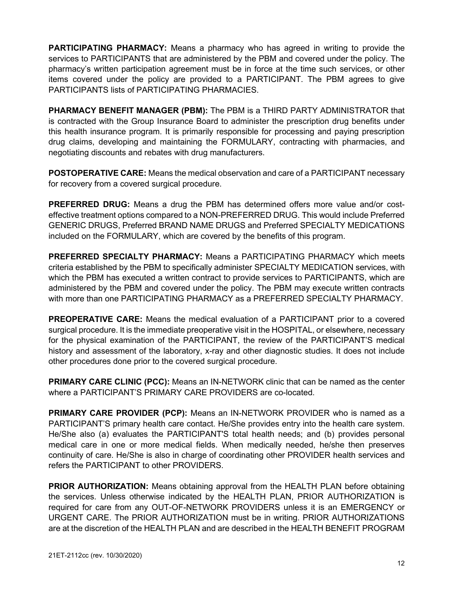**PARTICIPATING PHARMACY:** Means a pharmacy who has agreed in writing to provide the services to PARTICIPANTS that are administered by the PBM and covered under the policy. The pharmacy's written participation agreement must be in force at the time such services, or other items covered under the policy are provided to a PARTICIPANT. The PBM agrees to give PARTICIPANTS lists of PARTICIPATING PHARMACIES.

**PHARMACY BENEFIT MANAGER (PBM):** The PBM is a THIRD PARTY ADMINISTRATOR that is contracted with the Group Insurance Board to administer the prescription drug benefits under this health insurance program. It is primarily responsible for processing and paying prescription drug claims, developing and maintaining the FORMULARY, contracting with pharmacies, and negotiating discounts and rebates with drug manufacturers.

**POSTOPERATIVE CARE:** Means the medical observation and care of a PARTICIPANT necessary for recovery from a covered surgical procedure.

**PREFERRED DRUG:** Means a drug the PBM has determined offers more value and/or costeffective treatment options compared to a NON-PREFERRED DRUG. This would include Preferred GENERIC DRUGS, Preferred BRAND NAME DRUGS and Preferred SPECIALTY MEDICATIONS included on the FORMULARY, which are covered by the benefits of this program.

**PREFERRED SPECIALTY PHARMACY:** Means a PARTICIPATING PHARMACY which meets criteria established by the PBM to specifically administer SPECIALTY MEDICATION services, with which the PBM has executed a written contract to provide services to PARTICIPANTS, which are administered by the PBM and covered under the policy. The PBM may execute written contracts with more than one PARTICIPATING PHARMACY as a PREFERRED SPECIALTY PHARMACY.

**PREOPERATIVE CARE:** Means the medical evaluation of a PARTICIPANT prior to a covered surgical procedure. It is the immediate preoperative visit in the HOSPITAL, or elsewhere, necessary for the physical examination of the PARTICIPANT, the review of the PARTICIPANT'S medical history and assessment of the laboratory, x-ray and other diagnostic studies. It does not include other procedures done prior to the covered surgical procedure.

**PRIMARY CARE CLINIC (PCC):** Means an IN-NETWORK clinic that can be named as the center where a PARTICIPANT'S PRIMARY CARE PROVIDERS are co-located.

**PRIMARY CARE PROVIDER (PCP):** Means an IN-NETWORK PROVIDER who is named as a PARTICIPANT'S primary health care contact. He/She provides entry into the health care system. He/She also (a) evaluates the PARTICIPANT'S total health needs; and (b) provides personal medical care in one or more medical fields. When medically needed, he/she then preserves continuity of care. He/She is also in charge of coordinating other PROVIDER health services and refers the PARTICIPANT to other PROVIDERS.

**PRIOR AUTHORIZATION:** Means obtaining approval from the HEALTH PLAN before obtaining the services. Unless otherwise indicated by the HEALTH PLAN, PRIOR AUTHORIZATION is required for care from any OUT-OF-NETWORK PROVIDERS unless it is an EMERGENCY or URGENT CARE. The PRIOR AUTHORIZATION must be in writing. PRIOR AUTHORIZATIONS are at the discretion of the HEALTH PLAN and are described in the HEALTH BENEFIT PROGRAM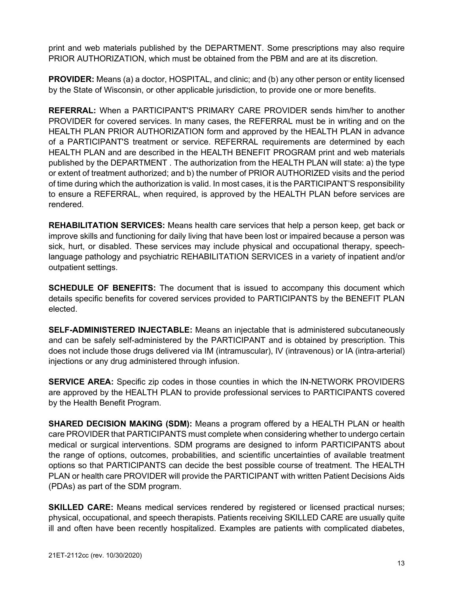print and web materials published by the DEPARTMENT. Some prescriptions may also require PRIOR AUTHORIZATION, which must be obtained from the PBM and are at its discretion.

**PROVIDER:** Means (a) a doctor, HOSPITAL, and clinic; and (b) any other person or entity licensed by the State of Wisconsin, or other applicable jurisdiction, to provide one or more benefits.

**REFERRAL:** When a PARTICIPANT'S PRIMARY CARE PROVIDER sends him/her to another PROVIDER for covered services. In many cases, the REFERRAL must be in writing and on the HEALTH PLAN PRIOR AUTHORIZATION form and approved by the HEALTH PLAN in advance of a PARTICIPANT'S treatment or service. REFERRAL requirements are determined by each HEALTH PLAN and are described in the HEALTH BENEFIT PROGRAM print and web materials published by the DEPARTMENT . The authorization from the HEALTH PLAN will state: a) the type or extent of treatment authorized; and b) the number of PRIOR AUTHORIZED visits and the period of time during which the authorization is valid. In most cases, it is the PARTICIPANT'S responsibility to ensure a REFERRAL, when required, is approved by the HEALTH PLAN before services are rendered.

**REHABILITATION SERVICES:** Means health care services that help a person keep, get back or improve skills and functioning for daily living that have been lost or impaired because a person was sick, hurt, or disabled. These services may include physical and occupational therapy, speechlanguage pathology and psychiatric REHABILITATION SERVICES in a variety of inpatient and/or outpatient settings.

**SCHEDULE OF BENEFITS:** The document that is issued to accompany this document which details specific benefits for covered services provided to PARTICIPANTS by the BENEFIT PLAN elected.

**SELF-ADMINISTERED INJECTABLE:** Means an injectable that is administered subcutaneously and can be safely self-administered by the PARTICIPANT and is obtained by prescription. This does not include those drugs delivered via IM (intramuscular), IV (intravenous) or IA (intra-arterial) injections or any drug administered through infusion.

**SERVICE AREA:** Specific zip codes in those counties in which the IN-NETWORK PROVIDERS are approved by the HEALTH PLAN to provide professional services to PARTICIPANTS covered by the Health Benefit Program.

**SHARED DECISION MAKING (SDM):** Means a program offered by a HEALTH PLAN or health care PROVIDER that PARTICIPANTS must complete when considering whether to undergo certain medical or surgical interventions. SDM programs are designed to inform PARTICIPANTS about the range of options, outcomes, probabilities, and scientific uncertainties of available treatment options so that PARTICIPANTS can decide the best possible course of treatment. The HEALTH PLAN or health care PROVIDER will provide the PARTICIPANT with written Patient Decisions Aids (PDAs) as part of the SDM program.

**SKILLED CARE:** Means medical services rendered by registered or licensed practical nurses; physical, occupational, and speech therapists. Patients receiving SKILLED CARE are usually quite ill and often have been recently hospitalized. Examples are patients with complicated diabetes,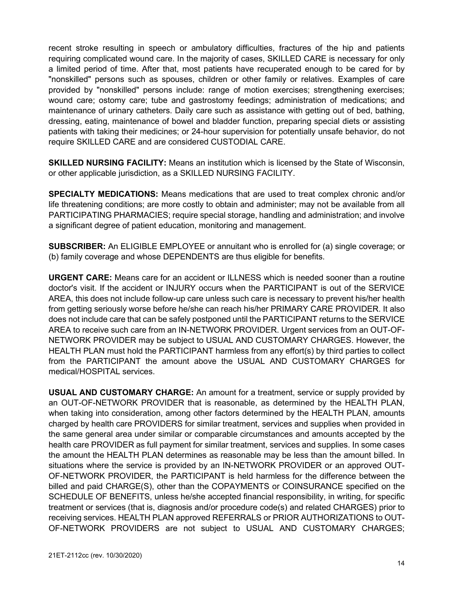recent stroke resulting in speech or ambulatory difficulties, fractures of the hip and patients requiring complicated wound care. In the majority of cases, SKILLED CARE is necessary for only a limited period of time. After that, most patients have recuperated enough to be cared for by "nonskilled" persons such as spouses, children or other family or relatives. Examples of care provided by "nonskilled" persons include: range of motion exercises; strengthening exercises; wound care; ostomy care; tube and gastrostomy feedings; administration of medications; and maintenance of urinary catheters. Daily care such as assistance with getting out of bed, bathing, dressing, eating, maintenance of bowel and bladder function, preparing special diets or assisting patients with taking their medicines; or 24-hour supervision for potentially unsafe behavior, do not require SKILLED CARE and are considered CUSTODIAL CARE.

**SKILLED NURSING FACILITY:** Means an institution which is licensed by the State of Wisconsin, or other applicable jurisdiction, as a SKILLED NURSING FACILITY.

**SPECIALTY MEDICATIONS:** Means medications that are used to treat complex chronic and/or life threatening conditions; are more costly to obtain and administer; may not be available from all PARTICIPATING PHARMACIES; require special storage, handling and administration; and involve a significant degree of patient education, monitoring and management.

**SUBSCRIBER:** An ELIGIBLE EMPLOYEE or annuitant who is enrolled for (a) single coverage; or (b) family coverage and whose DEPENDENTS are thus eligible for benefits.

**URGENT CARE:** Means care for an accident or ILLNESS which is needed sooner than a routine doctor's visit. If the accident or INJURY occurs when the PARTICIPANT is out of the SERVICE AREA, this does not include follow-up care unless such care is necessary to prevent his/her health from getting seriously worse before he/she can reach his/her PRIMARY CARE PROVIDER. It also does not include care that can be safely postponed until the PARTICIPANT returns to the SERVICE AREA to receive such care from an IN-NETWORK PROVIDER. Urgent services from an OUT-OF-NETWORK PROVIDER may be subject to USUAL AND CUSTOMARY CHARGES. However, the HEALTH PLAN must hold the PARTICIPANT harmless from any effort(s) by third parties to collect from the PARTICIPANT the amount above the USUAL AND CUSTOMARY CHARGES for medical/HOSPITAL services.

**USUAL AND CUSTOMARY CHARGE:** An amount for a treatment, service or supply provided by an OUT-OF-NETWORK PROVIDER that is reasonable, as determined by the HEALTH PLAN, when taking into consideration, among other factors determined by the HEALTH PLAN, amounts charged by health care PROVIDERS for similar treatment, services and supplies when provided in the same general area under similar or comparable circumstances and amounts accepted by the health care PROVIDER as full payment for similar treatment, services and supplies. In some cases the amount the HEALTH PLAN determines as reasonable may be less than the amount billed. In situations where the service is provided by an IN-NETWORK PROVIDER or an approved OUT-OF-NETWORK PROVIDER, the PARTICIPANT is held harmless for the difference between the billed and paid CHARGE(S), other than the COPAYMENTS or COINSURANCE specified on the SCHEDULE OF BENEFITS, unless he/she accepted financial responsibility, in writing, for specific treatment or services (that is, diagnosis and/or procedure code(s) and related CHARGES) prior to receiving services. HEALTH PLAN approved REFERRALS or PRIOR AUTHORIZATIONS to OUT-OF-NETWORK PROVIDERS are not subject to USUAL AND CUSTOMARY CHARGES;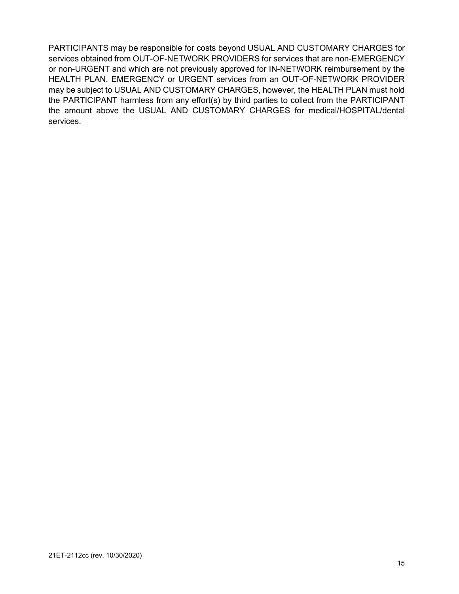PARTICIPANTS may be responsible for costs beyond USUAL AND CUSTOMARY CHARGES for services obtained from OUT-OF-NETWORK PROVIDERS for services that are non-EMERGENCY or non-URGENT and which are not previously approved for IN-NETWORK reimbursement by the HEALTH PLAN. EMERGENCY or URGENT services from an OUT-OF-NETWORK PROVIDER may be subject to USUAL AND CUSTOMARY CHARGES, however, the HEALTH PLAN must hold the PARTICIPANT harmless from any effort(s) by third parties to collect from the PARTICIPANT the amount above the USUAL AND CUSTOMARY CHARGES for medical/HOSPITAL/dental services.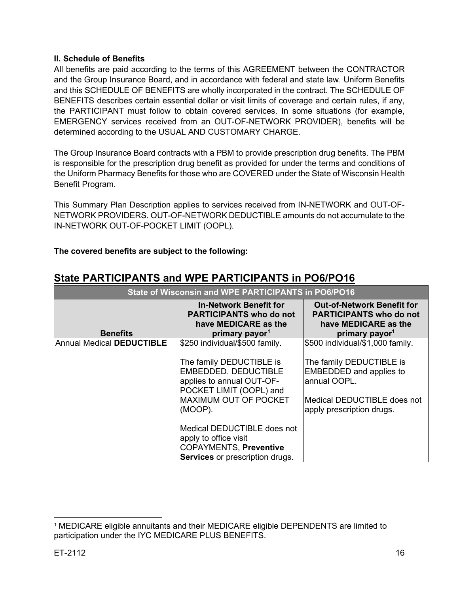#### <span id="page-15-0"></span>**II. Schedule of Benefits**

<span id="page-15-1"></span>All benefits are paid according to the terms of this AGREEMENT between the CONTRACTOR and the Group Insurance Board, and in accordance with federal and state law. Uniform Benefits and this SCHEDULE OF BENEFITS are wholly incorporated in the contract. The SCHEDULE OF BENEFITS describes certain essential dollar or visit limits of coverage and certain rules, if any, the PARTICIPANT must follow to obtain covered services. In some situations (for example, EMERGENCY services received from an OUT-OF-NETWORK PROVIDER), benefits will be determined according to the USUAL AND CUSTOMARY CHARGE.

The Group Insurance Board contracts with a PBM to provide prescription drug benefits. The PBM is responsible for the prescription drug benefit as provided for under the terms and conditions of the Uniform Pharmacy Benefits for those who are COVERED under the State of Wisconsin Health Benefit Program.

This Summary Plan Description applies to services received from IN-NETWORK and OUT-OF-NETWORK PROVIDERS. OUT-OF-NETWORK DEDUCTIBLE amounts do not accumulate to the IN-NETWORK OUT-OF-POCKET LIMIT (OOPL).

## **The covered benefits are subject to the following:**

| State of Wisconsin and WPE PARTICIPANTS in PO6/PO16 |                                                                                                                                                            |                                                                                                                                        |
|-----------------------------------------------------|------------------------------------------------------------------------------------------------------------------------------------------------------------|----------------------------------------------------------------------------------------------------------------------------------------|
| <b>Benefits</b>                                     | <b>In-Network Benefit for</b><br><b>PARTICIPANTS who do not</b><br>have MEDICARE as the<br>primary payor <sup>1</sup>                                      | <b>Out-of-Network Benefit for</b><br><b>PARTICIPANTS who do not</b><br>have MEDICARE as the<br>primary payor <sup>1</sup>              |
| Annual Medical DEDUCTIBLE                           | \$250 individual/\$500 family.                                                                                                                             | \$500 individual/\$1,000 family.                                                                                                       |
|                                                     | The family DEDUCTIBLE is<br><b>EMBEDDED, DEDUCTIBLE</b><br>applies to annual OUT-OF-<br>POCKET LIMIT (OOPL) and<br><b>MAXIMUM OUT OF POCKET</b><br>(MOOP). | The family DEDUCTIBLE is<br><b>EMBEDDED</b> and applies to<br>annual OOPL.<br>Medical DEDUCTIBLE does not<br>apply prescription drugs. |
|                                                     | Medical DEDUCTIBLE does not<br>apply to office visit<br><b>COPAYMENTS, Preventive</b>                                                                      |                                                                                                                                        |
|                                                     | Services or prescription drugs.                                                                                                                            |                                                                                                                                        |

## **State PARTICIPANTS and WPE PARTICIPANTS in PO6/PO16**

<span id="page-15-2"></span><sup>1</sup> MEDICARE eligible annuitants and their MEDICARE eligible DEPENDENTS are limited to participation under the IYC MEDICARE PLUS BENEFITS.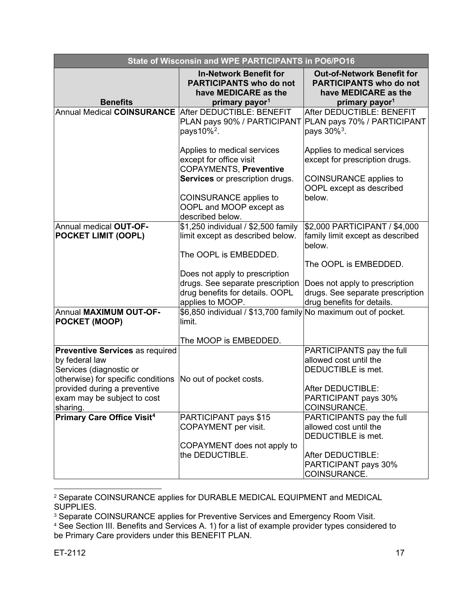| State of Wisconsin and WPE PARTICIPANTS in PO6/PO16                                                                                               |                                                                                                                       |                                                                                                                           |
|---------------------------------------------------------------------------------------------------------------------------------------------------|-----------------------------------------------------------------------------------------------------------------------|---------------------------------------------------------------------------------------------------------------------------|
| <b>Benefits</b>                                                                                                                                   | <b>In-Network Benefit for</b><br><b>PARTICIPANTS who do not</b><br>have MEDICARE as the<br>primary payor <sup>1</sup> | <b>Out-of-Network Benefit for</b><br><b>PARTICIPANTS who do not</b><br>have MEDICARE as the<br>primary payor <sup>1</sup> |
| Annual Medical COINSURANCE After DEDUCTIBLE: BENEFIT                                                                                              |                                                                                                                       | After DEDUCTIBLE: BENEFIT                                                                                                 |
|                                                                                                                                                   | PLAN pays 90% / PARTICIPANT<br>pays $10\%$ <sup>2</sup> .                                                             | PLAN pays 70% / PARTICIPANT<br>pays 30% <sup>3</sup> .                                                                    |
|                                                                                                                                                   | Applies to medical services                                                                                           | Applies to medical services                                                                                               |
|                                                                                                                                                   | except for office visit<br><b>COPAYMENTS, Preventive</b>                                                              | except for prescription drugs.                                                                                            |
|                                                                                                                                                   | <b>Services</b> or prescription drugs.                                                                                | COINSURANCE applies to<br>OOPL except as described                                                                        |
|                                                                                                                                                   | <b>COINSURANCE</b> applies to<br>OOPL and MOOP except as<br>described below.                                          | below.                                                                                                                    |
| Annual medical OUT-OF-                                                                                                                            | \$1,250 individual / \$2,500 family                                                                                   | \$2,000 PARTICIPANT / \$4,000                                                                                             |
| <b>POCKET LIMIT (OOPL)</b>                                                                                                                        | limit except as described below.                                                                                      | family limit except as described<br>below.                                                                                |
|                                                                                                                                                   | The OOPL is EMBEDDED.                                                                                                 | The OOPL is EMBEDDED.                                                                                                     |
|                                                                                                                                                   | Does not apply to prescription                                                                                        |                                                                                                                           |
|                                                                                                                                                   | drugs. See separate prescription                                                                                      | Does not apply to prescription                                                                                            |
|                                                                                                                                                   | drug benefits for details. OOPL<br>applies to MOOP.                                                                   | drugs. See separate prescription<br>drug benefits for details.                                                            |
| Annual MAXIMUM OUT-OF-<br><b>POCKET (MOOP)</b>                                                                                                    | \$6,850 individual / \$13,700 family No maximum out of pocket.<br>limit.                                              |                                                                                                                           |
|                                                                                                                                                   | The MOOP is EMBEDDED.                                                                                                 |                                                                                                                           |
| <b>Preventive Services as required</b><br>by federal law<br>Services (diagnostic or<br>otherwise) for specific conditions No out of pocket costs. |                                                                                                                       | PARTICIPANTS pay the full<br>allowed cost until the<br>DEDUCTIBLE is met.                                                 |
| provided during a preventive<br>exam may be subject to cost<br>sharing.                                                                           |                                                                                                                       | After DEDUCTIBLE:<br>PARTICIPANT pays 30%<br>COINSURANCE.                                                                 |
| <b>Primary Care Office Visit<sup>4</sup></b>                                                                                                      | PARTICIPANT pays \$15                                                                                                 | PARTICIPANTS pay the full                                                                                                 |
|                                                                                                                                                   | COPAYMENT per visit.                                                                                                  | allowed cost until the<br>DEDUCTIBLE is met.                                                                              |
|                                                                                                                                                   | COPAYMENT does not apply to                                                                                           |                                                                                                                           |
|                                                                                                                                                   | the DEDUCTIBLE.                                                                                                       | After DEDUCTIBLE:                                                                                                         |
|                                                                                                                                                   |                                                                                                                       | PARTICIPANT pays 30%<br>COINSURANCE.                                                                                      |

<span id="page-16-0"></span><sup>2</sup> Separate COINSURANCE applies for DURABLE MEDICAL EQUIPMENT and MEDICAL SUPPLIES.

<span id="page-16-1"></span><sup>&</sup>lt;sup>3</sup> Separate COINSURANCE applies for Preventive Services and Emergency Room Visit.

<span id="page-16-2"></span><sup>4</sup> See Section III. Benefits and Services A. 1) for a list of example provider types considered to be Primary Care providers under this BENEFIT PLAN.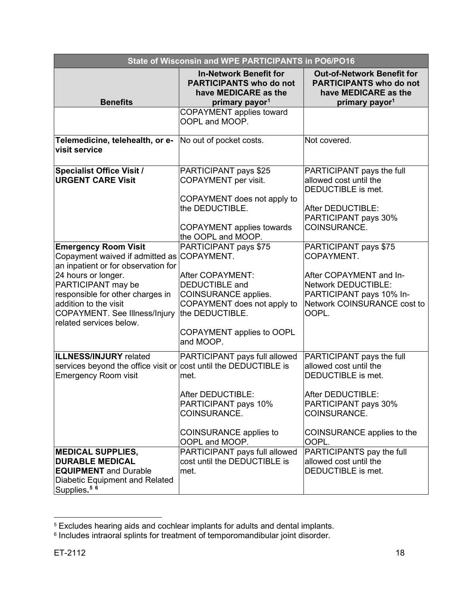| State of Wisconsin and WPE PARTICIPANTS in PO6/PO16                                                                                                                                                                                                                                           |                                                                                                                                                                                               |                                                                                                                                                                               |
|-----------------------------------------------------------------------------------------------------------------------------------------------------------------------------------------------------------------------------------------------------------------------------------------------|-----------------------------------------------------------------------------------------------------------------------------------------------------------------------------------------------|-------------------------------------------------------------------------------------------------------------------------------------------------------------------------------|
| <b>Benefits</b>                                                                                                                                                                                                                                                                               | <b>In-Network Benefit for</b><br><b>PARTICIPANTS who do not</b><br>have MEDICARE as the<br>primary payor <sup>1</sup>                                                                         | <b>Out-of-Network Benefit for</b><br><b>PARTICIPANTS who do not</b><br>have MEDICARE as the<br>primary payor <sup>1</sup>                                                     |
|                                                                                                                                                                                                                                                                                               | <b>COPAYMENT</b> applies toward<br>OOPL and MOOP.                                                                                                                                             |                                                                                                                                                                               |
| Telemedicine, telehealth, or e-<br>visit service                                                                                                                                                                                                                                              | No out of pocket costs.                                                                                                                                                                       | Not covered.                                                                                                                                                                  |
| <b>Specialist Office Visit /</b><br><b>URGENT CARE Visit</b>                                                                                                                                                                                                                                  | PARTICIPANT pays \$25<br>COPAYMENT per visit.<br>COPAYMENT does not apply to<br>the DEDUCTIBLE.                                                                                               | PARTICIPANT pays the full<br>allowed cost until the<br>DEDUCTIBLE is met.<br>After DEDUCTIBLE:<br>PARTICIPANT pays 30%                                                        |
|                                                                                                                                                                                                                                                                                               | <b>COPAYMENT</b> applies towards<br>the OOPL and MOOP.                                                                                                                                        | COINSURANCE.                                                                                                                                                                  |
| <b>Emergency Room Visit</b><br>Copayment waived if admitted as COPAYMENT.<br>an inpatient or for observation for<br>24 hours or longer.<br>PARTICIPANT may be<br>responsible for other charges in<br>addition to the visit<br><b>COPAYMENT.</b> See Illness/Injury<br>related services below. | PARTICIPANT pays \$75<br>After COPAYMENT:<br><b>DEDUCTIBLE</b> and<br><b>COINSURANCE applies.</b><br>COPAYMENT does not apply to<br>the DEDUCTIBLE.<br>COPAYMENT applies to OOPL<br>and MOOP. | PARTICIPANT pays \$75<br>COPAYMENT.<br>After COPAYMENT and In-<br><b>Network DEDUCTIBLE:</b><br>PARTICIPANT pays 10% In-<br><b>Network COINSURANCE cost to</b><br>OOPL.       |
| <b>ILLNESS/INJURY</b> related<br>services beyond the office visit or cost until the DEDUCTIBLE is<br><b>Emergency Room visit</b>                                                                                                                                                              | PARTICIPANT pays full allowed<br>met.<br>After DEDUCTIBLE:<br>PARTICIPANT pays 10%<br>COINSURANCE.<br><b>COINSURANCE applies to</b><br>OOPL and MOOP.                                         | PARTICIPANT pays the full<br>allowed cost until the<br>DEDUCTIBLE is met.<br>After DEDUCTIBLE:<br>PARTICIPANT pays 30%<br>COINSURANCE.<br>COINSURANCE applies to the<br>OOPL. |
| <b>MEDICAL SUPPLIES,</b><br><b>DURABLE MEDICAL</b><br><b>EQUIPMENT</b> and Durable<br><b>Diabetic Equipment and Related</b><br>Supplies. <sup>56</sup>                                                                                                                                        | PARTICIPANT pays full allowed<br>cost until the DEDUCTIBLE is<br>met.                                                                                                                         | PARTICIPANTS pay the full<br>allowed cost until the<br>DEDUCTIBLE is met.                                                                                                     |

<span id="page-17-1"></span><span id="page-17-0"></span> $^{\rm 5}$  Excludes hearing aids and cochlear implants for adults and dental implants.

 $\,{}^{\rm 6}$  Includes intraoral splints for treatment of temporomandibular joint disorder.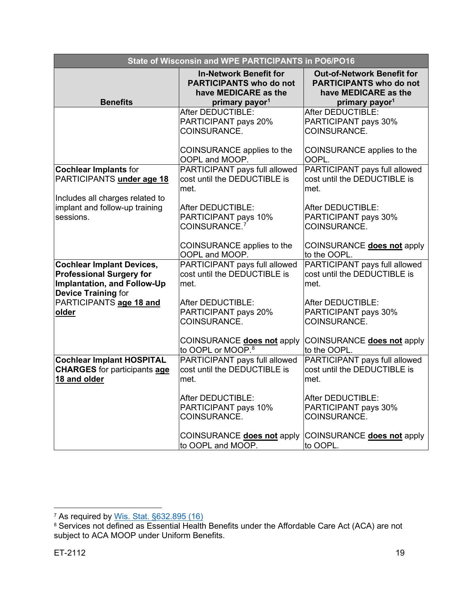| State of Wisconsin and WPE PARTICIPANTS in PO6/PO16                                                                              |                                                                                                                       |                                                                                                                           |
|----------------------------------------------------------------------------------------------------------------------------------|-----------------------------------------------------------------------------------------------------------------------|---------------------------------------------------------------------------------------------------------------------------|
| <b>Benefits</b>                                                                                                                  | <b>In-Network Benefit for</b><br><b>PARTICIPANTS who do not</b><br>have MEDICARE as the<br>primary payor <sup>1</sup> | <b>Out-of-Network Benefit for</b><br><b>PARTICIPANTS who do not</b><br>have MEDICARE as the<br>primary payor <sup>1</sup> |
|                                                                                                                                  | After DEDUCTIBLE:                                                                                                     | After DEDUCTIBLE:                                                                                                         |
|                                                                                                                                  | PARTICIPANT pays 20%<br>COINSURANCE.                                                                                  | PARTICIPANT pays 30%<br>COINSURANCE.                                                                                      |
|                                                                                                                                  | COINSURANCE applies to the<br>OOPL and MOOP.                                                                          | COINSURANCE applies to the<br>OOPL.                                                                                       |
| <b>Cochlear Implants for</b><br>PARTICIPANTS under age 18                                                                        | PARTICIPANT pays full allowed<br>cost until the DEDUCTIBLE is<br>met.                                                 | PARTICIPANT pays full allowed<br>cost until the DEDUCTIBLE is<br>met.                                                     |
| Includes all charges related to                                                                                                  |                                                                                                                       |                                                                                                                           |
| implant and follow-up training<br>sessions.                                                                                      | After DEDUCTIBLE:<br>PARTICIPANT pays 10%<br>COINSURANCE. <sup>7</sup>                                                | After DEDUCTIBLE:<br>PARTICIPANT pays 30%<br>COINSURANCE.                                                                 |
|                                                                                                                                  | COINSURANCE applies to the<br>OOPL and MOOP.                                                                          | COINSURANCE does not apply<br>to the OOPL.                                                                                |
| <b>Cochlear Implant Devices,</b><br><b>Professional Surgery for</b><br>Implantation, and Follow-Up<br><b>Device Training for</b> | PARTICIPANT pays full allowed<br>cost until the DEDUCTIBLE is<br>met.                                                 | PARTICIPANT pays full allowed<br>cost until the DEDUCTIBLE is<br>met.                                                     |
| PARTICIPANTS age 18 and                                                                                                          | After DEDUCTIBLE:                                                                                                     | After DEDUCTIBLE:                                                                                                         |
| older                                                                                                                            | PARTICIPANT pays 20%<br>COINSURANCE.                                                                                  | PARTICIPANT pays 30%<br>COINSURANCE.                                                                                      |
|                                                                                                                                  | COINSURANCE does not apply<br>to OOPL or MOOP. <sup>8</sup>                                                           | COINSURANCE does not apply<br>to the OOPL.                                                                                |
| <b>Cochlear Implant HOSPITAL</b><br><b>CHARGES</b> for participants age<br>18 and older                                          | PARTICIPANT pays full allowed<br>cost until the DEDUCTIBLE is<br>met.                                                 | PARTICIPANT pays full allowed<br>cost until the DEDUCTIBLE is<br>met.                                                     |
|                                                                                                                                  | After DEDUCTIBLE:<br>PARTICIPANT pays 10%<br>COINSURANCE.                                                             | After DEDUCTIBLE:<br>PARTICIPANT pays 30%<br>COINSURANCE.                                                                 |
|                                                                                                                                  | COINSURANCE does not apply<br>to OOPL and MOOP.                                                                       | COINSURANCE does not apply<br>to OOPL.                                                                                    |

<span id="page-18-0"></span><sup>&</sup>lt;sup>7</sup> As required by <u>Wis. Stat. §632.895 (16)</u>

<span id="page-18-1"></span> $^{\text{\tiny{8}}}$  Services not defined as Essential Health Benefits under the Affordable Care Act (ACA) are not subject to ACA MOOP under Uniform Benefits.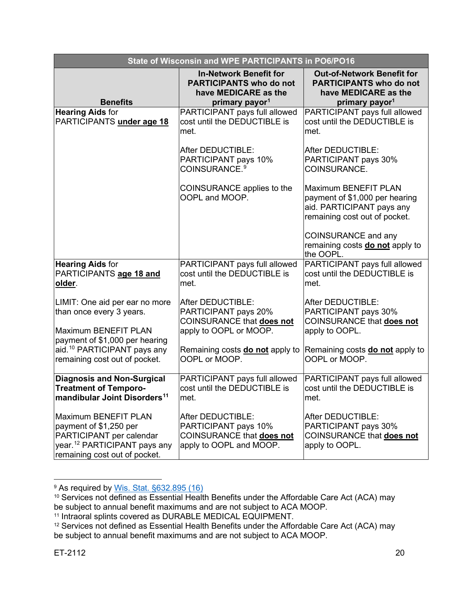| <b>State of Wisconsin and WPE PARTICIPANTS in PO6/PO16</b>                                                                                              |                                                                                                                       |                                                                                                                           |
|---------------------------------------------------------------------------------------------------------------------------------------------------------|-----------------------------------------------------------------------------------------------------------------------|---------------------------------------------------------------------------------------------------------------------------|
| <b>Benefits</b>                                                                                                                                         | <b>In-Network Benefit for</b><br><b>PARTICIPANTS who do not</b><br>have MEDICARE as the<br>primary payor <sup>1</sup> | <b>Out-of-Network Benefit for</b><br><b>PARTICIPANTS who do not</b><br>have MEDICARE as the<br>primary payor <sup>1</sup> |
| <b>Hearing Aids for</b><br>PARTICIPANTS under age 18                                                                                                    | PARTICIPANT pays full allowed<br>cost until the DEDUCTIBLE is<br>met.                                                 | PARTICIPANT pays full allowed<br>cost until the DEDUCTIBLE is<br>met.                                                     |
|                                                                                                                                                         | After DEDUCTIBLE:<br>PARTICIPANT pays 10%<br>COINSURANCE. <sup>9</sup>                                                | After DEDUCTIBLE:<br>PARTICIPANT pays 30%<br>COINSURANCE.                                                                 |
|                                                                                                                                                         | COINSURANCE applies to the<br>OOPL and MOOP.                                                                          | Maximum BENEFIT PLAN<br>payment of \$1,000 per hearing<br>aid. PARTICIPANT pays any<br>remaining cost out of pocket.      |
|                                                                                                                                                         |                                                                                                                       | <b>COINSURANCE and any</b><br>remaining costs do not apply to<br>the OOPL.                                                |
| <b>Hearing Aids for</b><br>PARTICIPANTS age 18 and<br>older.                                                                                            | PARTICIPANT pays full allowed<br>cost until the DEDUCTIBLE is<br>met.                                                 | PARTICIPANT pays full allowed<br>cost until the DEDUCTIBLE is<br>met.                                                     |
| LIMIT: One aid per ear no more<br>than once every 3 years.<br>Maximum BENEFIT PLAN                                                                      | After DEDUCTIBLE:<br>PARTICIPANT pays 20%<br>COINSURANCE that does not<br>apply to OOPL or MOOP.                      | After DEDUCTIBLE:<br>PARTICIPANT pays 30%<br>COINSURANCE that does not<br>apply to OOPL.                                  |
| payment of \$1,000 per hearing<br>aid. <sup>10</sup> PARTICIPANT pays any<br>remaining cost out of pocket.                                              | Remaining costs <b>do not</b> apply to<br>OOPL or MOOP.                                                               | Remaining costs <b>do not</b> apply to<br>OOPL or MOOP.                                                                   |
| <b>Diagnosis and Non-Surgical</b><br><b>Treatment of Temporo-</b><br>mandibular Joint Disorders <sup>11</sup>                                           | PARTICIPANT pays full allowed<br>cost until the DEDUCTIBLE is<br>met.                                                 | PARTICIPANT pays full allowed<br>cost until the DEDUCTIBLE is<br>met.                                                     |
| Maximum BENEFIT PLAN<br>payment of \$1,250 per<br>PARTICIPANT per calendar<br>year. <sup>12</sup> PARTICIPANT pays any<br>remaining cost out of pocket. | After DEDUCTIBLE:<br>PARTICIPANT pays 10%<br>COINSURANCE that does not<br>apply to OOPL and MOOP.                     | After DEDUCTIBLE:<br>PARTICIPANT pays 30%<br><b>COINSURANCE that does not</b><br>apply to OOPL.                           |

<sup>&</sup>lt;sup>9</sup> As required by <u>Wis. Stat. §632.895 (16)</u>

<span id="page-19-1"></span><span id="page-19-0"></span><sup>10</sup> Services not defined as Essential Health Benefits under the Affordable Care Act (ACA) may be subject to annual benefit maximums and are not subject to ACA MOOP.

<span id="page-19-2"></span><sup>11</sup> Intraoral splints covered as DURABLE MEDICAL EQUIPMENT.

<span id="page-19-3"></span><sup>&</sup>lt;sup>12</sup> Services not defined as Essential Health Benefits under the Affordable Care Act (ACA) may be subject to annual benefit maximums and are not subject to ACA MOOP.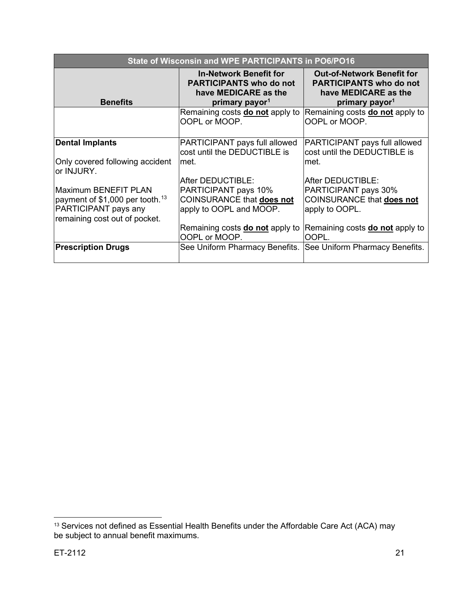| State of Wisconsin and WPE PARTICIPANTS in PO6/PO16                                                                          |                                                                                                                       |                                                                                                                           |
|------------------------------------------------------------------------------------------------------------------------------|-----------------------------------------------------------------------------------------------------------------------|---------------------------------------------------------------------------------------------------------------------------|
| <b>Benefits</b>                                                                                                              | <b>In-Network Benefit for</b><br><b>PARTICIPANTS who do not</b><br>have MEDICARE as the<br>primary payor <sup>1</sup> | <b>Out-of-Network Benefit for</b><br><b>PARTICIPANTS who do not</b><br>have MEDICARE as the<br>primary payor <sup>1</sup> |
|                                                                                                                              | Remaining costs <b>do not</b> apply to<br>OOPL or MOOP.                                                               | Remaining costs <b>do not</b> apply to<br>OOPL or MOOP.                                                                   |
| <b>Dental Implants</b>                                                                                                       | PARTICIPANT pays full allowed<br>cost until the DEDUCTIBLE is                                                         | PARTICIPANT pays full allowed<br>cost until the DEDUCTIBLE is                                                             |
| Only covered following accident<br>or INJURY.                                                                                | lmet.                                                                                                                 | met.                                                                                                                      |
|                                                                                                                              | After DEDUCTIBLE:                                                                                                     | After DEDUCTIBLE:                                                                                                         |
| Maximum BENEFIT PLAN<br>payment of \$1,000 per tooth. <sup>13</sup><br>PARTICIPANT pays any<br>remaining cost out of pocket. | PARTICIPANT pays 10%<br>COINSURANCE that does not<br>apply to OOPL and MOOP.                                          | PARTICIPANT pays 30%<br><b>COINSURANCE that does not</b><br>apply to OOPL.                                                |
|                                                                                                                              | Remaining costs <b>do not</b> apply to<br>OOPL or MOOP.                                                               | Remaining costs <b>do not</b> apply to<br>OOPL.                                                                           |
| <b>Prescription Drugs</b>                                                                                                    | See Uniform Pharmacy Benefits.                                                                                        | See Uniform Pharmacy Benefits.                                                                                            |

<span id="page-20-0"></span> $^{13}$  Services not defined as Essential Health Benefits under the Affordable Care Act (ACA) may be subject to annual benefit maximums.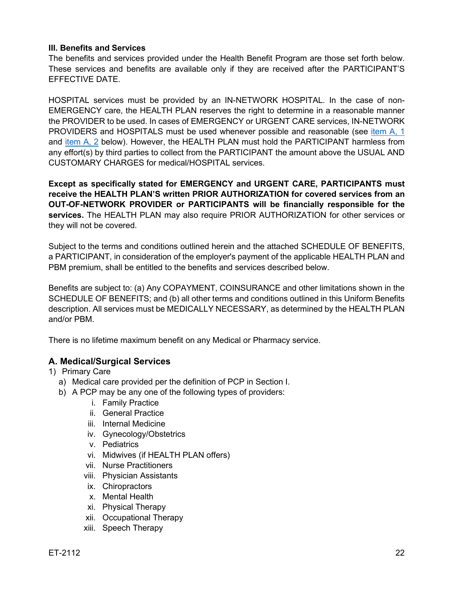#### **III. Benefits and Services**

The benefits and services provided under the Health Benefit Program are those set forth below. These services and benefits are available only if they are received after the PARTICIPANT'S EFFECTIVE DATE.

HOSPITAL services must be provided by an IN-NETWORK HOSPITAL. In the case of non-EMERGENCY care, the HEALTH PLAN reserves the right to determine in a reasonable manner the PROVIDER to be used. In cases of EMERGENCY or URGENT CARE services, IN-NETWORK PROVIDERS and HOSPITALS must be used whenever possible and reasonable (see [item A, 1](#page-21-1) and [item A, 2](#page-23-0) below). However, the HEALTH PLAN must hold the PARTICIPANT harmless from any effort(s) by third parties to collect from the PARTICIPANT the amount above the USUAL AND CUSTOMARY CHARGES for medical/HOSPITAL services.

**Except as specifically stated for EMERGENCY and URGENT CARE, PARTICIPANTS must receive the HEALTH PLAN'S written PRIOR AUTHORIZATION for covered services from an OUT-OF-NETWORK PROVIDER or PARTICIPANTS will be financially responsible for the services.** The HEALTH PLAN may also require PRIOR AUTHORIZATION for other services or they will not be covered.

Subject to the terms and conditions outlined herein and the attached SCHEDULE OF BENEFITS, a PARTICIPANT, in consideration of the employer's payment of the applicable HEALTH PLAN and PBM premium, shall be entitled to the benefits and services described below.

Benefits are subject to: (a) Any COPAYMENT, COINSURANCE and other limitations shown in the SCHEDULE OF BENEFITS; and (b) all other terms and conditions outlined in this Uniform Benefits description. All services must be MEDICALLY NECESSARY, as determined by the HEALTH PLAN and/or PBM.

There is no lifetime maximum benefit on any Medical or Pharmacy service.

## <span id="page-21-0"></span>**A. Medical/Surgical Services**

<span id="page-21-1"></span>1) Primary Care

- a) Medical care provided per the definition of PCP in Section I.
- b) A PCP may be any one of the following types of providers:
	- i. Family Practice
	- ii. General Practice
	- iii. Internal Medicine
	- iv. Gynecology/Obstetrics
	- v. Pediatrics
	- vi. Midwives (if HEALTH PLAN offers)
	- vii. Nurse Practitioners
	- viii. Physician Assistants
	- ix. Chiropractors
	- x. Mental Health
	- xi. Physical Therapy
	- xii. Occupational Therapy
	- xiii. Speech Therapy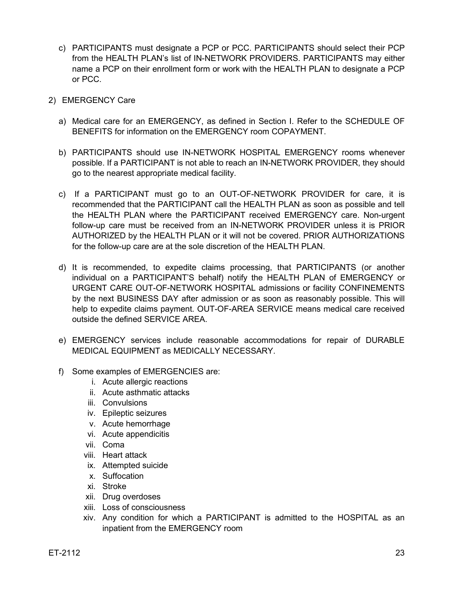- c) PARTICIPANTS must designate a PCP or PCC. PARTICIPANTS should select their PCP from the HEALTH PLAN's list of IN-NETWORK PROVIDERS. PARTICIPANTS may either name a PCP on their enrollment form or work with the HEALTH PLAN to designate a PCP or PCC.
- 2) EMERGENCY Care
	- a) Medical care for an EMERGENCY, as defined in Section I. Refer to the SCHEDULE OF BENEFITS for information on the EMERGENCY room COPAYMENT.
	- b) PARTICIPANTS should use IN-NETWORK HOSPITAL EMERGENCY rooms whenever possible. If a PARTICIPANT is not able to reach an IN-NETWORK PROVIDER, they should go to the nearest appropriate medical facility.
	- c) If a PARTICIPANT must go to an OUT-OF-NETWORK PROVIDER for care, it is recommended that the PARTICIPANT call the HEALTH PLAN as soon as possible and tell the HEALTH PLAN where the PARTICIPANT received EMERGENCY care. Non-urgent follow-up care must be received from an IN-NETWORK PROVIDER unless it is PRIOR AUTHORIZED by the HEALTH PLAN or it will not be covered. PRIOR AUTHORIZATIONS for the follow-up care are at the sole discretion of the HEALTH PLAN.
	- d) It is recommended, to expedite claims processing, that PARTICIPANTS (or another individual on a PARTICIPANT'S behalf) notify the HEALTH PLAN of EMERGENCY or URGENT CARE OUT-OF-NETWORK HOSPITAL admissions or facility CONFINEMENTS by the next BUSINESS DAY after admission or as soon as reasonably possible. This will help to expedite claims payment. OUT-OF-AREA SERVICE means medical care received outside the defined SERVICE AREA.
	- e) EMERGENCY services include reasonable accommodations for repair of DURABLE MEDICAL EQUIPMENT as MEDICALLY NECESSARY.
	- f) Some examples of EMERGENCIES are:
		- i. Acute allergic reactions
		- ii. Acute asthmatic attacks
		- iii. Convulsions
		- iv. Epileptic seizures
		- v. Acute hemorrhage
		- vi. Acute appendicitis
		- vii. Coma
		- viii. Heart attack
		- ix. Attempted suicide
		- x. Suffocation
		- xi. Stroke
		- xii. Drug overdoses
		- xiii. Loss of consciousness
		- xiv. Any condition for which a PARTICIPANT is admitted to the HOSPITAL as an inpatient from the EMERGENCY room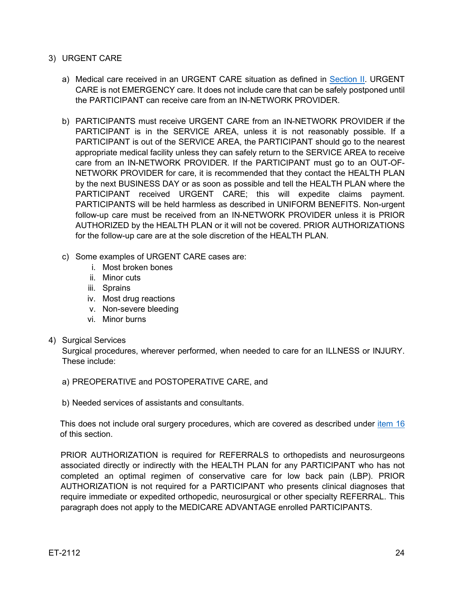#### <span id="page-23-0"></span>3) URGENT CARE

- a) Medical care received in an URGENT CARE situation as defined in [Section II.](#page-15-1) URGENT CARE is not EMERGENCY care. It does not include care that can be safely postponed until the PARTICIPANT can receive care from an IN-NETWORK PROVIDER.
- b) PARTICIPANTS must receive URGENT CARE from an IN-NETWORK PROVIDER if the PARTICIPANT is in the SERVICE AREA, unless it is not reasonably possible. If a PARTICIPANT is out of the SERVICE AREA, the PARTICIPANT should go to the nearest appropriate medical facility unless they can safely return to the SERVICE AREA to receive care from an IN-NETWORK PROVIDER. If the PARTICIPANT must go to an OUT-OF-NETWORK PROVIDER for care, it is recommended that they contact the HEALTH PLAN by the next BUSINESS DAY or as soon as possible and tell the HEALTH PLAN where the PARTICIPANT received URGENT CARE; this will expedite claims payment. PARTICIPANTS will be held harmless as described in UNIFORM BENEFITS. Non-urgent follow-up care must be received from an IN-NETWORK PROVIDER unless it is PRIOR AUTHORIZED by the HEALTH PLAN or it will not be covered. PRIOR AUTHORIZATIONS for the follow-up care are at the sole discretion of the HEALTH PLAN.
- c) Some examples of URGENT CARE cases are:
	- i. Most broken bones
	- ii. Minor cuts
	- iii. Sprains
	- iv. Most drug reactions
	- v. Non-severe bleeding
	- vi. Minor burns

#### 4) Surgical Services

Surgical procedures, wherever performed, when needed to care for an ILLNESS or INJURY. These include:

- a) PREOPERATIVE and POSTOPERATIVE CARE, and
- b) Needed services of assistants and consultants.

This does not include oral surgery procedures, which are covered as described under [item 16](#page-29-0) of this section.

PRIOR AUTHORIZATION is required for REFERRALS to orthopedists and neurosurgeons associated directly or indirectly with the HEALTH PLAN for any PARTICIPANT who has not completed an optimal regimen of conservative care for low back pain (LBP). PRIOR AUTHORIZATION is not required for a PARTICIPANT who presents clinical diagnoses that require immediate or expedited orthopedic, neurosurgical or other specialty REFERRAL. This paragraph does not apply to the MEDICARE ADVANTAGE enrolled PARTICIPANTS.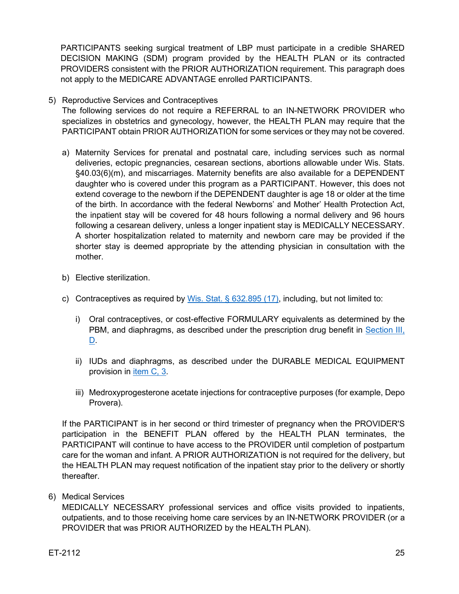PARTICIPANTS seeking surgical treatment of LBP must participate in a credible SHARED DECISION MAKING (SDM) program provided by the HEALTH PLAN or its contracted PROVIDERS consistent with the PRIOR AUTHORIZATION requirement. This paragraph does not apply to the MEDICARE ADVANTAGE enrolled PARTICIPANTS.

5) Reproductive Services and Contraceptives

The following services do not require a REFERRAL to an IN-NETWORK PROVIDER who specializes in obstetrics and gynecology, however, the HEALTH PLAN may require that the PARTICIPANT obtain PRIOR AUTHORIZATION for some services or they may not be covered.

- a) Maternity Services for prenatal and postnatal care, including services such as normal deliveries, ectopic pregnancies, cesarean sections, abortions allowable under Wis. Stats. §40.03(6)(m), and miscarriages. Maternity benefits are also available for a DEPENDENT daughter who is covered under this program as a PARTICIPANT. However, this does not extend coverage to the newborn if the DEPENDENT daughter is age 18 or older at the time of the birth. In accordance with the federal Newborns' and Mother' Health Protection Act, the inpatient stay will be covered for 48 hours following a normal delivery and 96 hours following a cesarean delivery, unless a longer inpatient stay is MEDICALLY NECESSARY. A shorter hospitalization related to maternity and newborn care may be provided if the shorter stay is deemed appropriate by the attending physician in consultation with the mother.
- b) Elective sterilization.
- c) Contraceptives as required by [Wis. Stat. § 632.895 \(17\),](https://docs.legis.wisconsin.gov/statutes/statutes/632/VI/895/17) including, but not limited to:
	- i) Oral contraceptives, or cost-effective FORMULARY equivalents as determined by the PBM, and diaphragms, as described under the prescription drug benefit in [Section](#page-36-0) III, [D.](#page-36-0)
	- ii) IUDs and diaphragms, as described under the DURABLE MEDICAL EQUIPMENT provision in [item C, 3.](#page-34-0)
	- iii) Medroxyprogesterone acetate injections for contraceptive purposes (for example, Depo Provera).

If the PARTICIPANT is in her second or third trimester of pregnancy when the PROVIDER'S participation in the BENEFIT PLAN offered by the HEALTH PLAN terminates, the PARTICIPANT will continue to have access to the PROVIDER until completion of postpartum care for the woman and infant. A PRIOR AUTHORIZATION is not required for the delivery, but the HEALTH PLAN may request notification of the inpatient stay prior to the delivery or shortly thereafter.

6) Medical Services

MEDICALLY NECESSARY professional services and office visits provided to inpatients, outpatients, and to those receiving home care services by an IN-NETWORK PROVIDER (or a PROVIDER that was PRIOR AUTHORIZED by the HEALTH PLAN).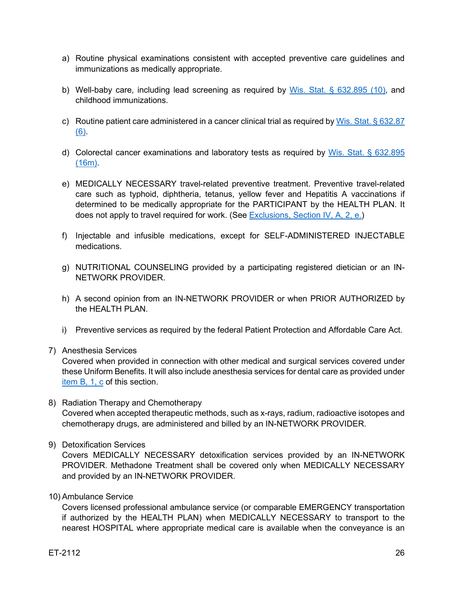- a) Routine physical examinations consistent with accepted preventive care guidelines and immunizations as medically appropriate.
- b) Well-baby care, including lead screening as required by [Wis. Stat. § 632.895 \(10\),](https://docs.legis.wisconsin.gov/document/statutes/632.895(10)) and childhood immunizations.
- c) Routine patient care administered in a cancer clinical trial as required by Wis. Stat.  $\S 632.87$ [\(6\).](https://docs.legis.wisconsin.gov/document/statutes/632.87(6))
- d) Colorectal cancer examinations and laboratory tests as required by [Wis. Stat. § 632.895](https://docs.legis.wisconsin.gov/statutes/statutes/632/VI/895/16m)  [\(16m\).](https://docs.legis.wisconsin.gov/statutes/statutes/632/VI/895/16m)
- e) MEDICALLY NECESSARY travel-related preventive treatment. Preventive travel-related care such as typhoid, diphtheria, tetanus, yellow fever and Hepatitis A vaccinations if determined to be medically appropriate for the PARTICIPANT by the HEALTH PLAN. It does not apply to travel required for work. (See [Exclusions, Section IV,](#page-37-2) A, 2, e.)
- f) Injectable and infusible medications, except for SELF-ADMINISTERED INJECTABLE medications.
- g) NUTRITIONAL COUNSELING provided by a participating registered dietician or an IN-NETWORK PROVIDER.
- h) A second opinion from an IN-NETWORK PROVIDER or when PRIOR AUTHORIZED by the HEALTH PLAN.
- i) Preventive services as required by the federal Patient Protection and Affordable Care Act.
- 7) Anesthesia Services

Covered when provided in connection with other medical and surgical services covered under these Uniform Benefits. It will also include anesthesia services for dental care as provided under [item B, 1, c](#page-32-1) of this section.

- 8) Radiation Therapy and Chemotherapy Covered when accepted therapeutic methods, such as x-rays, radium, radioactive isotopes and chemotherapy drugs, are administered and billed by an IN-NETWORK PROVIDER.
- 9) Detoxification Services

Covers MEDICALLY NECESSARY detoxification services provided by an IN-NETWORK PROVIDER. Methadone Treatment shall be covered only when MEDICALLY NECESSARY and provided by an IN-NETWORK PROVIDER.

10) Ambulance Service

Covers licensed professional ambulance service (or comparable EMERGENCY transportation if authorized by the HEALTH PLAN) when MEDICALLY NECESSARY to transport to the nearest HOSPITAL where appropriate medical care is available when the conveyance is an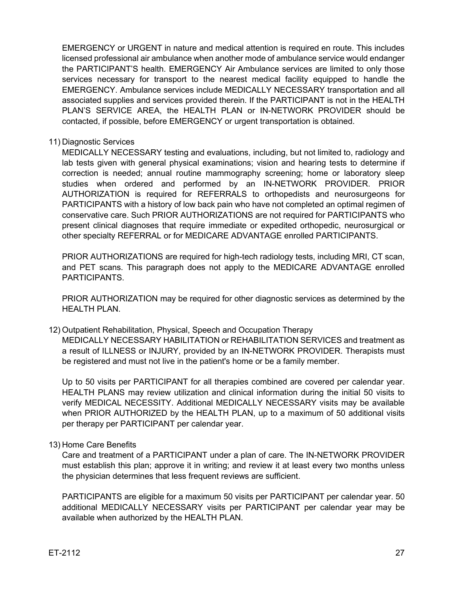EMERGENCY or URGENT in nature and medical attention is required en route. This includes licensed professional air ambulance when another mode of ambulance service would endanger the PARTICIPANT'S health. EMERGENCY Air Ambulance services are limited to only those services necessary for transport to the nearest medical facility equipped to handle the EMERGENCY. Ambulance services include MEDICALLY NECESSARY transportation and all associated supplies and services provided therein. If the PARTICIPANT is not in the HEALTH PLAN'S SERVICE AREA, the HEALTH PLAN or IN-NETWORK PROVIDER should be contacted, if possible, before EMERGENCY or urgent transportation is obtained.

11) Diagnostic Services

MEDICALLY NECESSARY testing and evaluations, including, but not limited to, radiology and lab tests given with general physical examinations; vision and hearing tests to determine if correction is needed; annual routine mammography screening; home or laboratory sleep studies when ordered and performed by an IN-NETWORK PROVIDER. PRIOR AUTHORIZATION is required for REFERRALS to orthopedists and neurosurgeons for PARTICIPANTS with a history of low back pain who have not completed an optimal regimen of conservative care. Such PRIOR AUTHORIZATIONS are not required for PARTICIPANTS who present clinical diagnoses that require immediate or expedited orthopedic, neurosurgical or other specialty REFERRAL or for MEDICARE ADVANTAGE enrolled PARTICIPANTS.

PRIOR AUTHORIZATIONS are required for high-tech radiology tests, including MRI, CT scan, and PET scans. This paragraph does not apply to the MEDICARE ADVANTAGE enrolled PARTICIPANTS.

PRIOR AUTHORIZATION may be required for other diagnostic services as determined by the HEALTH PLAN.

12) Outpatient Rehabilitation, Physical, Speech and Occupation Therapy MEDICALLY NECESSARY HABILITATION or REHABILITATION SERVICES and treatment as a result of ILLNESS or INJURY, provided by an IN-NETWORK PROVIDER. Therapists must

be registered and must not live in the patient's home or be a family member. Up to 50 visits per PARTICIPANT for all therapies combined are covered per calendar year. HEALTH PLANS may review utilization and clinical information during the initial 50 visits to

verify MEDICAL NECESSITY. Additional MEDICALLY NECESSARY visits may be available when PRIOR AUTHORIZED by the HEALTH PLAN, up to a maximum of 50 additional visits per therapy per PARTICIPANT per calendar year.

#### 13) Home Care Benefits

Care and treatment of a PARTICIPANT under a plan of care. The IN-NETWORK PROVIDER must establish this plan; approve it in writing; and review it at least every two months unless the physician determines that less frequent reviews are sufficient.

PARTICIPANTS are eligible for a maximum 50 visits per PARTICIPANT per calendar year. 50 additional MEDICALLY NECESSARY visits per PARTICIPANT per calendar year may be available when authorized by the HEALTH PLAN.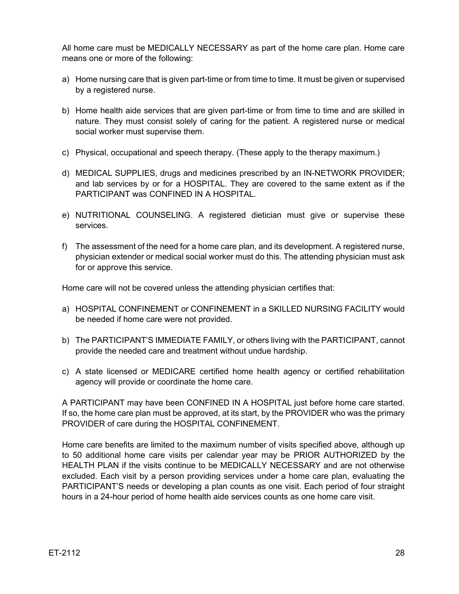All home care must be MEDICALLY NECESSARY as part of the home care plan. Home care means one or more of the following:

- a) Home nursing care that is given part-time or from time to time. It must be given or supervised by a registered nurse.
- b) Home health aide services that are given part-time or from time to time and are skilled in nature. They must consist solely of caring for the patient. A registered nurse or medical social worker must supervise them.
- c) Physical, occupational and speech therapy. (These apply to the therapy maximum.)
- d) MEDICAL SUPPLIES, drugs and medicines prescribed by an IN-NETWORK PROVIDER; and lab services by or for a HOSPITAL. They are covered to the same extent as if the PARTICIPANT was CONFINED IN A HOSPITAL.
- e) NUTRITIONAL COUNSELING. A registered dietician must give or supervise these services.
- f) The assessment of the need for a home care plan, and its development. A registered nurse, physician extender or medical social worker must do this. The attending physician must ask for or approve this service.

Home care will not be covered unless the attending physician certifies that:

- a) HOSPITAL CONFINEMENT or CONFINEMENT in a SKILLED NURSING FACILITY would be needed if home care were not provided.
- b) The PARTICIPANT'S IMMEDIATE FAMILY, or others living with the PARTICIPANT, cannot provide the needed care and treatment without undue hardship.
- c) A state licensed or MEDICARE certified home health agency or certified rehabilitation agency will provide or coordinate the home care.

A PARTICIPANT may have been CONFINED IN A HOSPITAL just before home care started. If so, the home care plan must be approved, at its start, by the PROVIDER who was the primary PROVIDER of care during the HOSPITAL CONFINEMENT.

Home care benefits are limited to the maximum number of visits specified above, although up to 50 additional home care visits per calendar year may be PRIOR AUTHORIZED by the HEALTH PLAN if the visits continue to be MEDICALLY NECESSARY and are not otherwise excluded. Each visit by a person providing services under a home care plan, evaluating the PARTICIPANT'S needs or developing a plan counts as one visit. Each period of four straight hours in a 24-hour period of home health aide services counts as one home care visit.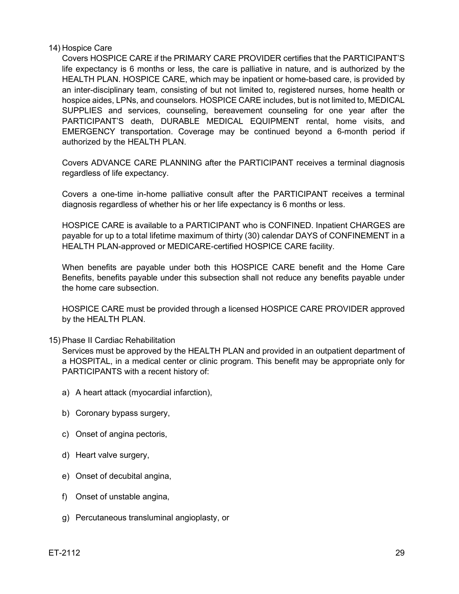#### 14) Hospice Care

Covers HOSPICE CARE if the PRIMARY CARE PROVIDER certifies that the PARTICIPANT'S life expectancy is 6 months or less, the care is palliative in nature, and is authorized by the HEALTH PLAN. HOSPICE CARE, which may be inpatient or home-based care, is provided by an inter-disciplinary team, consisting of but not limited to, registered nurses, home health or hospice aides, LPNs, and counselors. HOSPICE CARE includes, but is not limited to, MEDICAL SUPPLIES and services, counseling, bereavement counseling for one year after the PARTICIPANT'S death, DURABLE MEDICAL EQUIPMENT rental, home visits, and EMERGENCY transportation. Coverage may be continued beyond a 6-month period if authorized by the HEALTH PLAN.

Covers ADVANCE CARE PLANNING after the PARTICIPANT receives a terminal diagnosis regardless of life expectancy.

Covers a one-time in-home palliative consult after the PARTICIPANT receives a terminal diagnosis regardless of whether his or her life expectancy is 6 months or less.

HOSPICE CARE is available to a PARTICIPANT who is CONFINED. Inpatient CHARGES are payable for up to a total lifetime maximum of thirty (30) calendar DAYS of CONFINEMENT in a HEALTH PLAN-approved or MEDICARE-certified HOSPICE CARE facility.

When benefits are payable under both this HOSPICE CARE benefit and the Home Care Benefits, benefits payable under this subsection shall not reduce any benefits payable under the home care subsection.

HOSPICE CARE must be provided through a licensed HOSPICE CARE PROVIDER approved by the HEALTH PLAN.

#### 15) Phase II Cardiac Rehabilitation

Services must be approved by the HEALTH PLAN and provided in an outpatient department of a HOSPITAL, in a medical center or clinic program. This benefit may be appropriate only for PARTICIPANTS with a recent history of:

- a) A heart attack (myocardial infarction),
- b) Coronary bypass surgery,
- c) Onset of angina pectoris,
- d) Heart valve surgery,
- e) Onset of decubital angina,
- f) Onset of unstable angina,
- g) Percutaneous transluminal angioplasty, or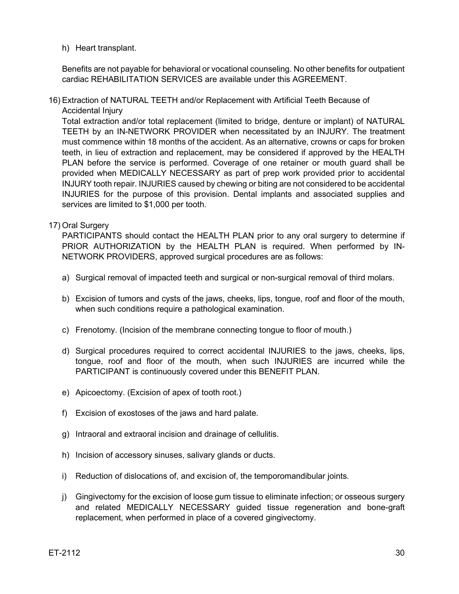#### h) Heart transplant.

Benefits are not payable for behavioral or vocational counseling. No other benefits for outpatient cardiac REHABILITATION SERVICES are available under this AGREEMENT.

16) Extraction of NATURAL TEETH and/or Replacement with Artificial Teeth Because of Accidental Injury

Total extraction and/or total replacement (limited to bridge, denture or implant) of NATURAL TEETH by an IN-NETWORK PROVIDER when necessitated by an INJURY. The treatment must commence within 18 months of the accident. As an alternative, crowns or caps for broken teeth, in lieu of extraction and replacement, may be considered if approved by the HEALTH PLAN before the service is performed. Coverage of one retainer or mouth guard shall be provided when MEDICALLY NECESSARY as part of prep work provided prior to accidental INJURY tooth repair. INJURIES caused by chewing or biting are not considered to be accidental INJURIES for the purpose of this provision. Dental implants and associated supplies and services are limited to \$1,000 per tooth.

<span id="page-29-0"></span>17) Oral Surgery

PARTICIPANTS should contact the HEALTH PLAN prior to any oral surgery to determine if PRIOR AUTHORIZATION by the HEALTH PLAN is required. When performed by IN-NETWORK PROVIDERS, approved surgical procedures are as follows:

- a) Surgical removal of impacted teeth and surgical or non-surgical removal of third molars.
- b) Excision of tumors and cysts of the jaws, cheeks, lips, tongue, roof and floor of the mouth, when such conditions require a pathological examination.
- c) Frenotomy. (Incision of the membrane connecting tongue to floor of mouth.)
- d) Surgical procedures required to correct accidental INJURIES to the jaws, cheeks, lips, tongue, roof and floor of the mouth, when such INJURIES are incurred while the PARTICIPANT is continuously covered under this BENEFIT PLAN.
- e) Apicoectomy. (Excision of apex of tooth root.)
- f) Excision of exostoses of the jaws and hard palate.
- g) Intraoral and extraoral incision and drainage of cellulitis.
- h) Incision of accessory sinuses, salivary glands or ducts.
- i) Reduction of dislocations of, and excision of, the temporomandibular joints.
- j) Gingivectomy for the excision of loose gum tissue to eliminate infection; or osseous surgery and related MEDICALLY NECESSARY guided tissue regeneration and bone-graft replacement, when performed in place of a covered gingivectomy.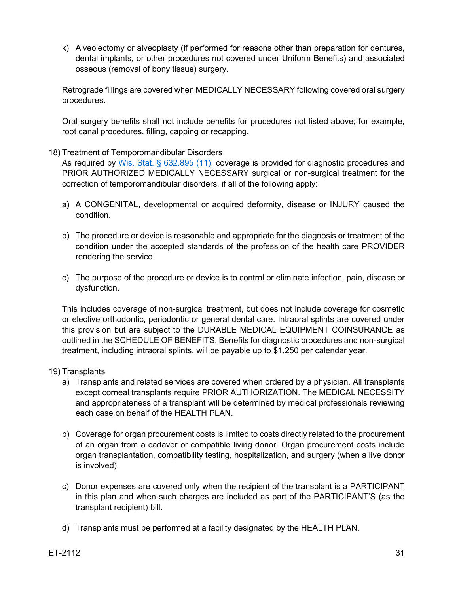k) Alveolectomy or alveoplasty (if performed for reasons other than preparation for dentures, dental implants, or other procedures not covered under Uniform Benefits) and associated osseous (removal of bony tissue) surgery.

Retrograde fillings are covered when MEDICALLY NECESSARY following covered oral surgery procedures.

Oral surgery benefits shall not include benefits for procedures not listed above; for example, root canal procedures, filling, capping or recapping.

#### 18) Treatment of Temporomandibular Disorders

As required by [Wis. Stat. § 632.895 \(11\),](https://docs.legis.wisconsin.gov/document/statutes/632.895(11)) coverage is provided for diagnostic procedures and PRIOR AUTHORIZED MEDICALLY NECESSARY surgical or non-surgical treatment for the correction of temporomandibular disorders, if all of the following apply:

- a) A CONGENITAL, developmental or acquired deformity, disease or INJURY caused the condition.
- b) The procedure or device is reasonable and appropriate for the diagnosis or treatment of the condition under the accepted standards of the profession of the health care PROVIDER rendering the service.
- c) The purpose of the procedure or device is to control or eliminate infection, pain, disease or dysfunction.

This includes coverage of non-surgical treatment, but does not include coverage for cosmetic or elective orthodontic, periodontic or general dental care. Intraoral splints are covered under this provision but are subject to the DURABLE MEDICAL EQUIPMENT COINSURANCE as outlined in the SCHEDULE OF BENEFITS. Benefits for diagnostic procedures and non-surgical treatment, including intraoral splints, will be payable up to \$1,250 per calendar year.

#### <span id="page-30-0"></span>19) Transplants

- a) Transplants and related services are covered when ordered by a physician. All transplants except corneal transplants require PRIOR AUTHORIZATION. The MEDICAL NECESSITY and appropriateness of a transplant will be determined by medical professionals reviewing each case on behalf of the HEALTH PLAN.
- b) Coverage for organ procurement costs is limited to costs directly related to the procurement of an organ from a cadaver or compatible living donor. Organ procurement costs include organ transplantation, compatibility testing, hospitalization, and surgery (when a live donor is involved).
- c) Donor expenses are covered only when the recipient of the transplant is a PARTICIPANT in this plan and when such charges are included as part of the PARTICIPANT'S (as the transplant recipient) bill.
- d) Transplants must be performed at a facility designated by the HEALTH PLAN.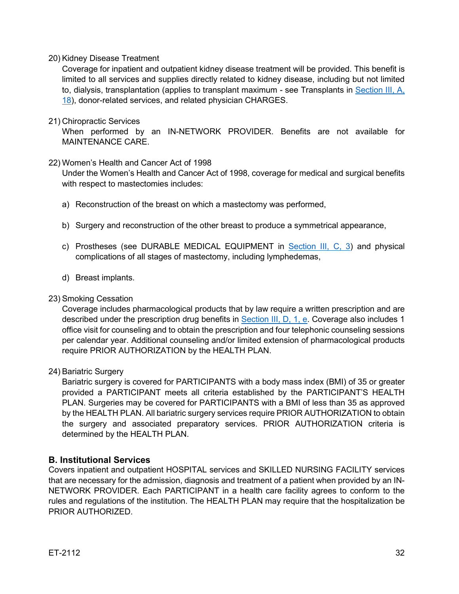#### 20) Kidney Disease Treatment

Coverage for inpatient and outpatient kidney disease treatment will be provided. This benefit is limited to all services and supplies directly related to kidney disease, including but not limited to, dialysis, transplantation (applies to transplant maximum - see [Transplants](#page-30-0) in Section III, A, [18\)](#page-30-0), donor-related services, and related physician CHARGES.

#### 21) Chiropractic Services

When performed by an IN-NETWORK PROVIDER. Benefits are not available for MAINTENANCE CARE.

#### 22) Women's Health and Cancer Act of 1998

Under the Women's Health and Cancer Act of 1998, coverage for medical and surgical benefits with respect to mastectomies includes:

- a) Reconstruction of the breast on which a mastectomy was performed,
- b) Surgery and reconstruction of the other breast to produce a symmetrical appearance,
- c) Prostheses (see DURABLE MEDICAL EQUIPMENT in [Section III, C, 3\)](#page-34-0) and physical complications of all stages of mastectomy, including lymphedemas,
- d) Breast implants.

#### 23) Smoking Cessation

Coverage includes pharmacological products that by law require a written prescription and are described under the prescription drug benefits in [Section](#page-36-1) III, D, 1, e. Coverage also includes 1 office visit for counseling and to obtain the prescription and four telephonic counseling sessions per calendar year. Additional counseling and/or limited extension of pharmacological products require PRIOR AUTHORIZATION by the HEALTH PLAN.

## 24) Bariatric Surgery

Bariatric surgery is covered for PARTICIPANTS with a body mass index (BMI) of 35 or greater provided a PARTICIPANT meets all criteria established by the PARTICIPANT'S HEALTH PLAN. Surgeries may be covered for PARTICIPANTS with a BMI of less than 35 as approved by the HEALTH PLAN. All bariatric surgery services require PRIOR AUTHORIZATION to obtain the surgery and associated preparatory services. PRIOR AUTHORIZATION criteria is determined by the HEALTH PLAN.

## <span id="page-31-0"></span>**B. Institutional Services**

Covers inpatient and outpatient HOSPITAL services and SKILLED NURSING FACILITY services that are necessary for the admission, diagnosis and treatment of a patient when provided by an IN-NETWORK PROVIDER. Each PARTICIPANT in a health care facility agrees to conform to the rules and regulations of the institution. The HEALTH PLAN may require that the hospitalization be PRIOR AUTHORIZED.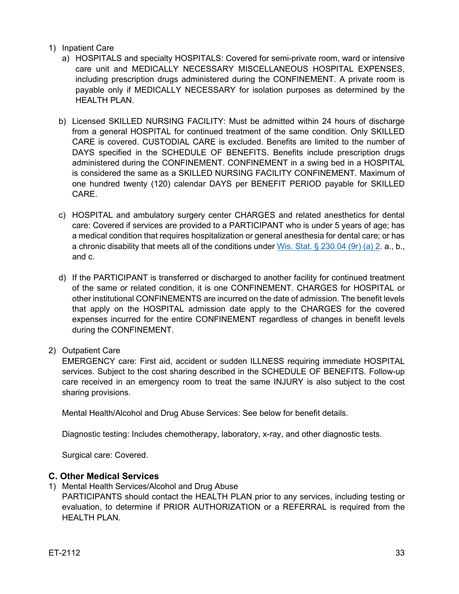#### 1) Inpatient Care

- a) HOSPITALS and specialty HOSPITALS: Covered for semi-private room, ward or intensive care unit and MEDICALLY NECESSARY MISCELLANEOUS HOSPITAL EXPENSES, including prescription drugs administered during the CONFINEMENT. A private room is payable only if MEDICALLY NECESSARY for isolation purposes as determined by the HEALTH PLAN.
- b) Licensed SKILLED NURSING FACILITY: Must be admitted within 24 hours of discharge from a general HOSPITAL for continued treatment of the same condition. Only SKILLED CARE is covered. CUSTODIAL CARE is excluded. Benefits are limited to the number of DAYS specified in the SCHEDULE OF BENEFITS. Benefits include prescription drugs administered during the CONFINEMENT. CONFINEMENT in a swing bed in a HOSPITAL is considered the same as a SKILLED NURSING FACILITY CONFINEMENT. Maximum of one hundred twenty (120) calendar DAYS per BENEFIT PERIOD payable for SKILLED CARE.
- <span id="page-32-1"></span>c) HOSPITAL and ambulatory surgery center CHARGES and related anesthetics for dental care: Covered if services are provided to a PARTICIPANT who is under 5 years of age; has a medical condition that requires hospitalization or general anesthesia for dental care; or has a chronic disability that meets all of the conditions under Wis. Stat.  $\S 230.04$  (9r) (a) 2. a., b., and c.
- d) If the PARTICIPANT is transferred or discharged to another facility for continued treatment of the same or related condition, it is one CONFINEMENT. CHARGES for HOSPITAL or other institutional CONFINEMENTS are incurred on the date of admission. The benefit levels that apply on the HOSPITAL admission date apply to the CHARGES for the covered expenses incurred for the entire CONFINEMENT regardless of changes in benefit levels during the CONFINEMENT.
- 2) Outpatient Care

EMERGENCY care: First aid, accident or sudden ILLNESS requiring immediate HOSPITAL services. Subject to the cost sharing described in the SCHEDULE OF BENEFITS. Follow-up care received in an emergency room to treat the same INJURY is also subject to the cost sharing provisions.

Mental Health/Alcohol and Drug Abuse Services: See below for benefit details.

Diagnostic testing: Includes chemotherapy, laboratory, x-ray, and other diagnostic tests.

Surgical care: Covered.

## <span id="page-32-0"></span>**C. Other Medical Services**

1) Mental Health Services/Alcohol and Drug Abuse

PARTICIPANTS should contact the HEALTH PLAN prior to any services, including testing or evaluation, to determine if PRIOR AUTHORIZATION or a REFERRAL is required from the HEALTH PLAN.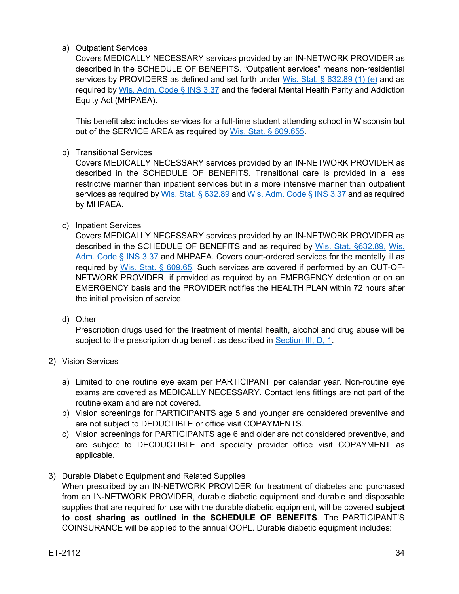a) Outpatient Services

Covers MEDICALLY NECESSARY services provided by an IN-NETWORK PROVIDER as described in the SCHEDULE OF BENEFITS. "Outpatient services" means non-residential services by PROVIDERS as defined and set forth under [Wis. Stat. § 632.89 \(1\) \(e\)](https://docs.legis.wisconsin.gov/document/statutes/632.89(1)(e)) and as required by [Wis. Adm. Code § INS 3.37](https://docs.legis.wisconsin.gov/document/administrativecode/Ins%203.37) and the federal Mental Health Parity and Addiction Equity Act (MHPAEA).

This benefit also includes services for a full-time student attending school in Wisconsin but out of the SERVICE AREA as required by [Wis. Stat. § 609.655.](https://docs.legis.wisconsin.gov/statutes/statutes/609/655)

b) Transitional Services

Covers MEDICALLY NECESSARY services provided by an IN-NETWORK PROVIDER as described in the SCHEDULE OF BENEFITS. Transitional care is provided in a less restrictive manner than inpatient services but in a more intensive manner than outpatient services as required by [Wis. Stat. § 632.89](https://docs.legis.wisconsin.gov/statutes/statutes/632/VI/89) and [Wis. Adm. Code § INS 3.37](https://docs.legis.wisconsin.gov/code/admin_code/ins/3/37) and as required by MHPAEA.

c) Inpatient Services

Covers MEDICALLY NECESSARY services provided by an IN-NETWORK PROVIDER as described in the SCHEDULE OF BENEFITS and as required by [Wis. Stat. §632.89,](https://docs.legis.wisconsin.gov/statutes/statutes/632/VI/89) [Wis.](https://docs.legis.wisconsin.gov/code/admin_code/ins/3/37)  [Adm. Code § INS 3.37](https://docs.legis.wisconsin.gov/code/admin_code/ins/3/37) and MHPAEA. Covers court-ordered services for the mentally ill as required by [Wis. Stat. § 609.65.](https://docs.legis.wisconsin.gov/statutes/statutes/609/65) Such services are covered if performed by an OUT-OF-NETWORK PROVIDER, if provided as required by an EMERGENCY detention or on an EMERGENCY basis and the PROVIDER notifies the HEALTH PLAN within 72 hours after the initial provision of service.

d) Other

Prescription drugs used for the treatment of mental health, alcohol and drug abuse will be subject to the prescription drug benefit as described in [Section III, D, 1.](#page-36-1)

- 2) Vision Services
	- a) Limited to one routine eye exam per PARTICIPANT per calendar year. Non-routine eye exams are covered as MEDICALLY NECESSARY. Contact lens fittings are not part of the routine exam and are not covered.
	- b) Vision screenings for PARTICIPANTS age 5 and younger are considered preventive and are not subject to DEDUCTIBLE or office visit COPAYMENTS.
	- c) Vision screenings for PARTICIPANTS age 6 and older are not considered preventive, and are subject to DECDUCTIBLE and specialty provider office visit COPAYMENT as applicable.
- 3) Durable Diabetic Equipment and Related Supplies When prescribed by an IN-NETWORK PROVIDER for treatment of diabetes and purchased from an IN-NETWORK PROVIDER, durable diabetic equipment and durable and disposable supplies that are required for use with the durable diabetic equipment, will be covered **subject to cost sharing as outlined in the SCHEDULE OF BENEFITS**. The PARTICIPANT'S COINSURANCE will be applied to the annual OOPL. Durable diabetic equipment includes: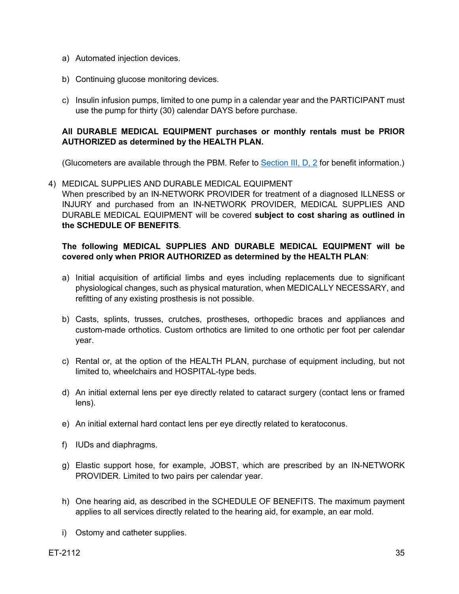- a) Automated injection devices.
- b) Continuing glucose monitoring devices.
- c) Insulin infusion pumps, limited to one pump in a calendar year and the PARTICIPANT must use the pump for thirty (30) calendar DAYS before purchase.

## **All DURABLE MEDICAL EQUIPMENT purchases or monthly rentals must be PRIOR AUTHORIZED as determined by the HEALTH PLAN.**

(Glucometers are available through the PBM. Refer to [Section III, D, 2](#page-36-2) for benefit information.)

<span id="page-34-0"></span>4) MEDICAL SUPPLIES AND DURABLE MEDICAL EQUIPMENT When prescribed by an IN-NETWORK PROVIDER for treatment of a diagnosed ILLNESS or INJURY and purchased from an IN-NETWORK PROVIDER, MEDICAL SUPPLIES AND DURABLE MEDICAL EQUIPMENT will be covered **subject to cost sharing as outlined in the SCHEDULE OF BENEFITS**.

#### **The following MEDICAL SUPPLIES AND DURABLE MEDICAL EQUIPMENT will be covered only when PRIOR AUTHORIZED as determined by the HEALTH PLAN**:

- a) Initial acquisition of artificial limbs and eyes including replacements due to significant physiological changes, such as physical maturation, when MEDICALLY NECESSARY, and refitting of any existing prosthesis is not possible.
- b) Casts, splints, trusses, crutches, prostheses, orthopedic braces and appliances and custom-made orthotics. Custom orthotics are limited to one orthotic per foot per calendar year.
- c) Rental or, at the option of the HEALTH PLAN, purchase of equipment including, but not limited to, wheelchairs and HOSPITAL-type beds.
- d) An initial external lens per eye directly related to cataract surgery (contact lens or framed lens).
- e) An initial external hard contact lens per eye directly related to keratoconus.
- f) IUDs and diaphragms.
- g) Elastic support hose, for example, JOBST, which are prescribed by an IN-NETWORK PROVIDER. Limited to two pairs per calendar year.
- h) One hearing aid, as described in the SCHEDULE OF BENEFITS. The maximum payment applies to all services directly related to the hearing aid, for example, an ear mold.
- i) Ostomy and catheter supplies.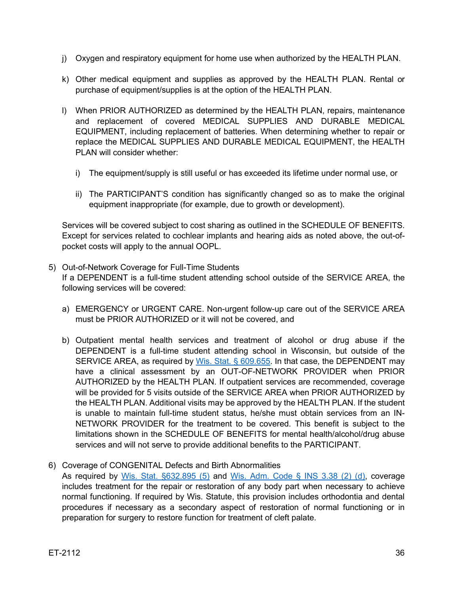- j) Oxygen and respiratory equipment for home use when authorized by the HEALTH PLAN.
- k) Other medical equipment and supplies as approved by the HEALTH PLAN. Rental or purchase of equipment/supplies is at the option of the HEALTH PLAN.
- l) When PRIOR AUTHORIZED as determined by the HEALTH PLAN, repairs, maintenance and replacement of covered MEDICAL SUPPLIES AND DURABLE MEDICAL EQUIPMENT, including replacement of batteries. When determining whether to repair or replace the MEDICAL SUPPLIES AND DURABLE MEDICAL EQUIPMENT, the HEALTH PLAN will consider whether:
	- i) The equipment/supply is still useful or has exceeded its lifetime under normal use, or
	- ii) The PARTICIPANT'S condition has significantly changed so as to make the original equipment inappropriate (for example, due to growth or development).

Services will be covered subject to cost sharing as outlined in the SCHEDULE OF BENEFITS. Except for services related to cochlear implants and hearing aids as noted above, the out-ofpocket costs will apply to the annual OOPL.

- 5) Out-of-Network Coverage for Full-Time Students If a DEPENDENT is a full-time student attending school outside of the SERVICE AREA, the following services will be covered:
	- a) EMERGENCY or URGENT CARE. Non-urgent follow-up care out of the SERVICE AREA must be PRIOR AUTHORIZED or it will not be covered, and
	- b) Outpatient mental health services and treatment of alcohol or drug abuse if the DEPENDENT is a full-time student attending school in Wisconsin, but outside of the SERVICE AREA, as required by [Wis. Stat. § 609.655.](https://docs.legis.wisconsin.gov/statutes/statutes/609/655) In that case, the DEPENDENT may have a clinical assessment by an OUT-OF-NETWORK PROVIDER when PRIOR AUTHORIZED by the HEALTH PLAN. If outpatient services are recommended, coverage will be provided for 5 visits outside of the SERVICE AREA when PRIOR AUTHORIZED by the HEALTH PLAN. Additional visits may be approved by the HEALTH PLAN. If the student is unable to maintain full-time student status, he/she must obtain services from an IN-NETWORK PROVIDER for the treatment to be covered. This benefit is subject to the limitations shown in the SCHEDULE OF BENEFITS for mental health/alcohol/drug abuse services and will not serve to provide additional benefits to the PARTICIPANT.
- 6) Coverage of CONGENITAL Defects and Birth Abnormalities

As required by [Wis. Stat. §632.895 \(5\)](https://docs.legis.wisconsin.gov/document/statutes/632.895(5)) and [Wis. Adm. Code § INS 3.38 \(2\) \(d\),](https://docs.legis.wisconsin.gov/document/administrativecode/Ins%203.38(2)) coverage includes treatment for the repair or restoration of any body part when necessary to achieve normal functioning. If required by Wis. Statute, this provision includes orthodontia and dental procedures if necessary as a secondary aspect of restoration of normal functioning or in preparation for surgery to restore function for treatment of cleft palate.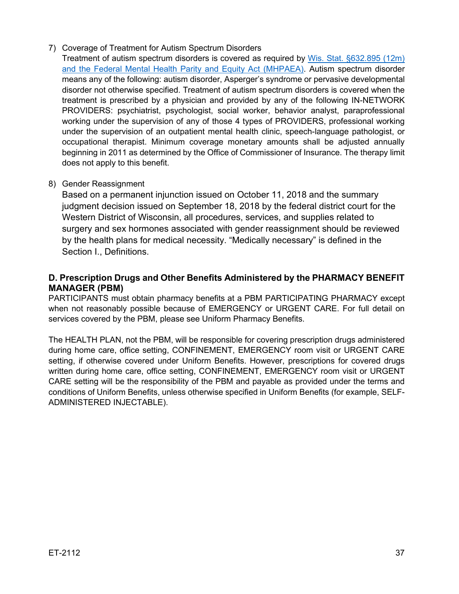#### 7) Coverage of Treatment for Autism Spectrum Disorders

Treatment of autism spectrum disorders is covered as required by [Wis. Stat. §632.895 \(12m\)](https://docs.legis.wisconsin.gov/statutes/statutes/632/VI/895/12m) and the Federal Mental Health Parity and Equity Act (MHPAEA). Autism spectrum disorder means any of the following: autism disorder, Asperger's syndrome or pervasive developmental disorder not otherwise specified. Treatment of autism spectrum disorders is covered when the treatment is prescribed by a physician and provided by any of the following IN-NETWORK PROVIDERS: psychiatrist, psychologist, social worker, behavior analyst, paraprofessional working under the supervision of any of those 4 types of PROVIDERS, professional working under the supervision of an outpatient mental health clinic, speech-language pathologist, or occupational therapist. Minimum coverage monetary amounts shall be adjusted annually beginning in 2011 as determined by the Office of Commissioner of Insurance. The therapy limit does not apply to this benefit.

## 8) Gender Reassignment

Based on a permanent injunction issued on October 11, 2018 and the summary judgment decision issued on September 18, 2018 by the federal district court for the Western District of Wisconsin, all procedures, services, and supplies related to surgery and sex hormones associated with gender reassignment should be reviewed by the health plans for medical necessity. "Medically necessary" is defined in the Section I., Definitions.

## <span id="page-36-0"></span>**D. Prescription Drugs and Other Benefits Administered by the PHARMACY BENEFIT MANAGER (PBM)**

<span id="page-36-1"></span>PARTICIPANTS must obtain pharmacy benefits at a PBM PARTICIPATING PHARMACY except when not reasonably possible because of EMERGENCY or URGENT CARE. For full detail on services covered by the PBM, please see Uniform Pharmacy Benefits.

<span id="page-36-2"></span>The HEALTH PLAN, not the PBM, will be responsible for covering prescription drugs administered during home care, office setting, CONFINEMENT, EMERGENCY room visit or URGENT CARE setting, if otherwise covered under Uniform Benefits. However, prescriptions for covered drugs written during home care, office setting, CONFINEMENT, EMERGENCY room visit or URGENT CARE setting will be the responsibility of the PBM and payable as provided under the terms and conditions of Uniform Benefits, unless otherwise specified in Uniform Benefits (for example, SELF-ADMINISTERED INJECTABLE).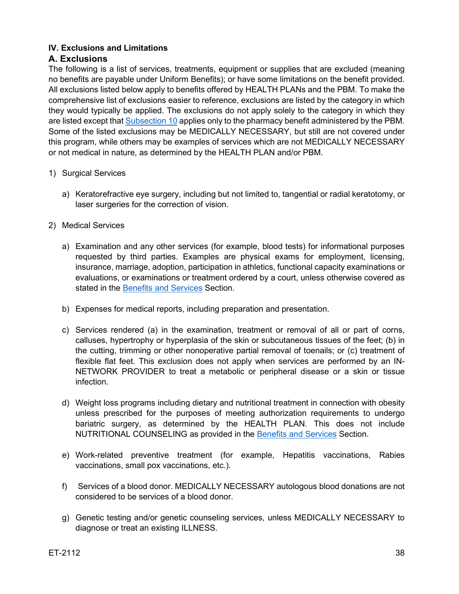## <span id="page-37-0"></span>**IV. Exclusions and Limitations**

## <span id="page-37-1"></span>**A. Exclusions**

The following is a list of services, treatments, equipment or supplies that are excluded (meaning no benefits are payable under Uniform Benefits); or have some limitations on the benefit provided. All exclusions listed below apply to benefits offered by HEALTH PLANs and the PBM. To make the comprehensive list of exclusions easier to reference, exclusions are listed by the category in which they would typically be applied. The exclusions do not apply solely to the category in which they are listed except that [Subsection 10](#page-40-0) applies only to the pharmacy benefit administered by the PBM. Some of the listed exclusions may be MEDICALLY NECESSARY, but still are not covered under this program, while others may be examples of services which are not MEDICALLY NECESSARY or not medical in nature, as determined by the HEALTH PLAN and/or PBM.

- 1) Surgical Services
	- a) Keratorefractive eye surgery, including but not limited to, tangential or radial keratotomy, or laser surgeries for the correction of vision.
- <span id="page-37-2"></span>2) Medical Services
	- a) Examination and any other services (for example, blood tests) for informational purposes requested by third parties. Examples are physical exams for employment, licensing, insurance, marriage, adoption, participation in athletics, functional capacity examinations or evaluations, or examinations or treatment ordered by a court, unless otherwise covered as stated in the [Benefits and Services](#page-15-1) Section.
	- b) Expenses for medical reports, including preparation and presentation.
	- c) Services rendered (a) in the examination, treatment or removal of all or part of corns, calluses, hypertrophy or hyperplasia of the skin or subcutaneous tissues of the feet; (b) in the cutting, trimming or other nonoperative partial removal of toenails; or (c) treatment of flexible flat feet. This exclusion does not apply when services are performed by an IN-NETWORK PROVIDER to treat a metabolic or peripheral disease or a skin or tissue infection.
	- d) Weight loss programs including dietary and nutritional treatment in connection with obesity unless prescribed for the purposes of meeting authorization requirements to undergo bariatric surgery, as determined by the HEALTH PLAN. This does not include NUTRITIONAL COUNSELING as provided in the [Benefits and Services](#page-15-1) Section.
	- e) Work-related preventive treatment (for example, Hepatitis vaccinations, Rabies vaccinations, small pox vaccinations, etc.).
	- f) Services of a blood donor. MEDICALLY NECESSARY autologous blood donations are not considered to be services of a blood donor.
	- g) Genetic testing and/or genetic counseling services, unless MEDICALLY NECESSARY to diagnose or treat an existing ILLNESS.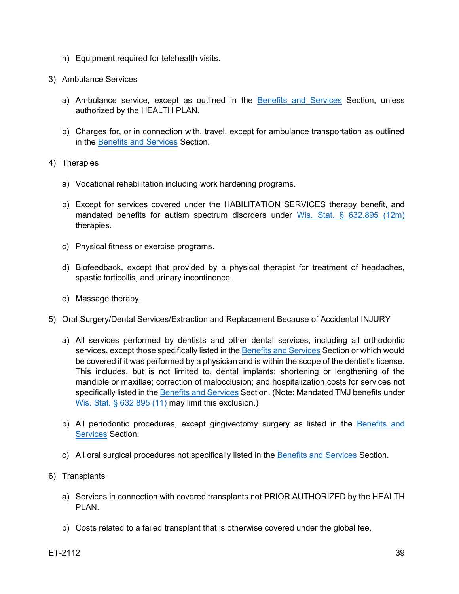- h) Equipment required for telehealth visits.
- 3) Ambulance Services
	- a) Ambulance service, except as outlined in the [Benefits and Services](#page-15-1) Section, unless authorized by the HEALTH PLAN.
	- b) Charges for, or in connection with, travel, except for ambulance transportation as outlined in the [Benefits and Services](#page-15-1) Section.
- 4) Therapies
	- a) Vocational rehabilitation including work hardening programs.
	- b) Except for services covered under the HABILITATION SERVICES therapy benefit, and mandated benefits for autism spectrum disorders under [Wis. Stat. § 632.895 \(12m\)](https://docs.legis.wisconsin.gov/statutes/statutes/632/VI/895/12m) therapies.
	- c) Physical fitness or exercise programs.
	- d) Biofeedback, except that provided by a physical therapist for treatment of headaches, spastic torticollis, and urinary incontinence.
	- e) Massage therapy.
- 5) Oral Surgery/Dental Services/Extraction and Replacement Because of Accidental INJURY
	- a) All services performed by dentists and other dental services, including all orthodontic services, except those specifically listed in th[e Benefits and Services](#page-15-1) Section or which would be covered if it was performed by a physician and is within the scope of the dentist's license. This includes, but is not limited to, dental implants; shortening or lengthening of the mandible or maxillae; correction of malocclusion; and hospitalization costs for services not specifically listed in th[e Benefits and Services](#page-15-1) Section. (Note: Mandated TMJ benefits under [Wis. Stat. § 632.895 \(11\)](https://docs.legis.wisconsin.gov/document/statutes/632.895(11)) may limit this exclusion.)
	- b) All periodontic procedures, except gingivectomy surgery as listed in the Benefits and [Services](#page-15-1) Section.
	- c) All oral surgical procedures not specifically listed in the [Benefits and Services](#page-15-1) Section.
- 6) Transplants
	- a) Services in connection with covered transplants not PRIOR AUTHORIZED by the HEALTH PLAN.
	- b) Costs related to a failed transplant that is otherwise covered under the global fee.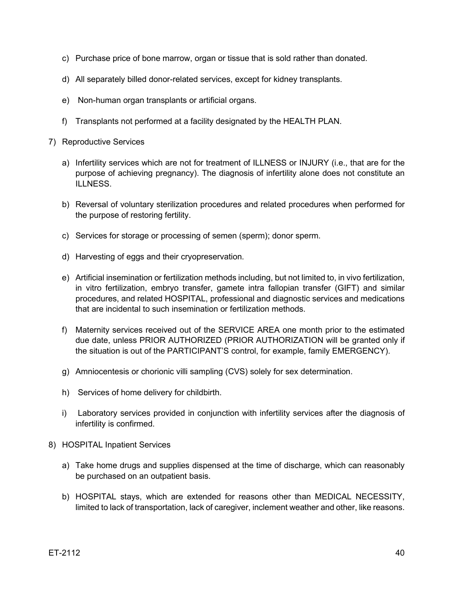- c) Purchase price of bone marrow, organ or tissue that is sold rather than donated.
- d) All separately billed donor-related services, except for kidney transplants.
- e) Non-human organ transplants or artificial organs.
- f) Transplants not performed at a facility designated by the HEALTH PLAN.
- 7) Reproductive Services
	- a) Infertility services which are not for treatment of ILLNESS or INJURY (i.e., that are for the purpose of achieving pregnancy). The diagnosis of infertility alone does not constitute an ILLNESS.
	- b) Reversal of voluntary sterilization procedures and related procedures when performed for the purpose of restoring fertility.
	- c) Services for storage or processing of semen (sperm); donor sperm.
	- d) Harvesting of eggs and their cryopreservation.
	- e) Artificial insemination or fertilization methods including, but not limited to, in vivo fertilization, in vitro fertilization, embryo transfer, gamete intra fallopian transfer (GIFT) and similar procedures, and related HOSPITAL, professional and diagnostic services and medications that are incidental to such insemination or fertilization methods.
	- f) Maternity services received out of the SERVICE AREA one month prior to the estimated due date, unless PRIOR AUTHORIZED (PRIOR AUTHORIZATION will be granted only if the situation is out of the PARTICIPANT'S control, for example, family EMERGENCY).
	- g) Amniocentesis or chorionic villi sampling (CVS) solely for sex determination.
	- h) Services of home delivery for childbirth.
	- i) Laboratory services provided in conjunction with infertility services after the diagnosis of infertility is confirmed.
- 8) HOSPITAL Inpatient Services
	- a) Take home drugs and supplies dispensed at the time of discharge, which can reasonably be purchased on an outpatient basis.
	- b) HOSPITAL stays, which are extended for reasons other than MEDICAL NECESSITY, limited to lack of transportation, lack of caregiver, inclement weather and other, like reasons.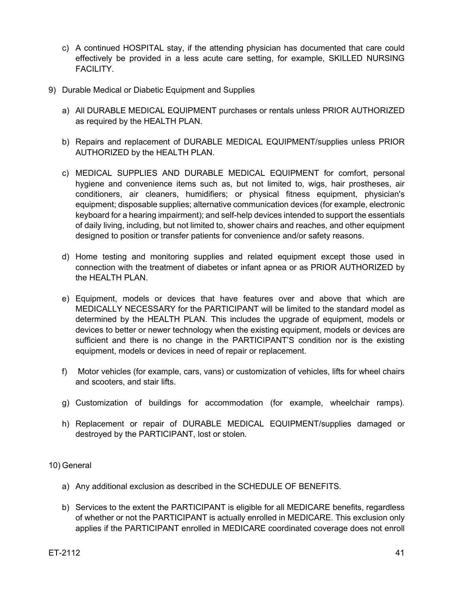- c) A continued HOSPITAL stay, if the attending physician has documented that care could effectively be provided in a less acute care setting, for example, SKILLED NURSING FACILITY.
- 9) Durable Medical or Diabetic Equipment and Supplies
	- a) All DURABLE MEDICAL EQUIPMENT purchases or rentals unless PRIOR AUTHORIZED as required by the HEALTH PLAN.
	- b) Repairs and replacement of DURABLE MEDICAL EQUIPMENT/supplies unless PRIOR AUTHORIZED by the HEALTH PLAN.
	- c) MEDICAL SUPPLIES AND DURABLE MEDICAL EQUIPMENT for comfort, personal hygiene and convenience items such as, but not limited to, wigs, hair prostheses, air conditioners, air cleaners, humidifiers; or physical fitness equipment, physician's equipment; disposable supplies; alternative communication devices (for example, electronic keyboard for a hearing impairment); and self-help devices intended to support the essentials of daily living, including, but not limited to, shower chairs and reaches, and other equipment designed to position or transfer patients for convenience and/or safety reasons.
	- d) Home testing and monitoring supplies and related equipment except those used in connection with the treatment of diabetes or infant apnea or as PRIOR AUTHORIZED by the HEALTH PLAN.
	- e) Equipment, models or devices that have features over and above that which are MEDICALLY NECESSARY for the PARTICIPANT will be limited to the standard model as determined by the HEALTH PLAN. This includes the upgrade of equipment, models or devices to better or newer technology when the existing equipment, models or devices are sufficient and there is no change in the PARTICIPANT'S condition nor is the existing equipment, models or devices in need of repair or replacement.
	- f) Motor vehicles (for example, cars, vans) or customization of vehicles, lifts for wheel chairs and scooters, and stair lifts.
	- g) Customization of buildings for accommodation (for example, wheelchair ramps).
	- h) Replacement or repair of DURABLE MEDICAL EQUIPMENT/supplies damaged or destroyed by the PARTICIPANT, lost or stolen.

#### <span id="page-40-0"></span>10) General

- a) Any additional exclusion as described in the SCHEDULE OF BENEFITS.
- b) Services to the extent the PARTICIPANT is eligible for all MEDICARE benefits, regardless of whether or not the PARTICIPANT is actually enrolled in MEDICARE. This exclusion only applies if the PARTICIPANT enrolled in MEDICARE coordinated coverage does not enroll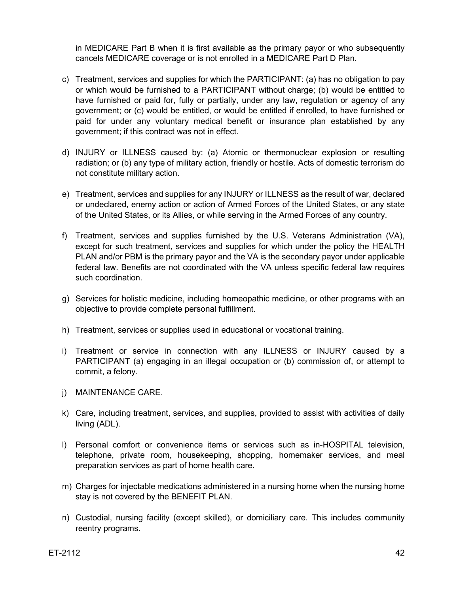in MEDICARE Part B when it is first available as the primary payor or who subsequently cancels MEDICARE coverage or is not enrolled in a MEDICARE Part D Plan.

- c) Treatment, services and supplies for which the PARTICIPANT: (a) has no obligation to pay or which would be furnished to a PARTICIPANT without charge; (b) would be entitled to have furnished or paid for, fully or partially, under any law, regulation or agency of any government; or (c) would be entitled, or would be entitled if enrolled, to have furnished or paid for under any voluntary medical benefit or insurance plan established by any government; if this contract was not in effect.
- d) INJURY or ILLNESS caused by: (a) Atomic or thermonuclear explosion or resulting radiation; or (b) any type of military action, friendly or hostile. Acts of domestic terrorism do not constitute military action.
- e) Treatment, services and supplies for any INJURY or ILLNESS as the result of war, declared or undeclared, enemy action or action of Armed Forces of the United States, or any state of the United States, or its Allies, or while serving in the Armed Forces of any country.
- f) Treatment, services and supplies furnished by the U.S. Veterans Administration (VA), except for such treatment, services and supplies for which under the policy the HEALTH PLAN and/or PBM is the primary payor and the VA is the secondary payor under applicable federal law. Benefits are not coordinated with the VA unless specific federal law requires such coordination.
- g) Services for holistic medicine, including homeopathic medicine, or other programs with an objective to provide complete personal fulfillment.
- h) Treatment, services or supplies used in educational or vocational training.
- i) Treatment or service in connection with any ILLNESS or INJURY caused by a PARTICIPANT (a) engaging in an illegal occupation or (b) commission of, or attempt to commit, a felony.
- j) MAINTENANCE CARE.
- k) Care, including treatment, services, and supplies, provided to assist with activities of daily living (ADL).
- l) Personal comfort or convenience items or services such as in-HOSPITAL television, telephone, private room, housekeeping, shopping, homemaker services, and meal preparation services as part of home health care.
- m) Charges for injectable medications administered in a nursing home when the nursing home stay is not covered by the BENEFIT PLAN.
- n) Custodial, nursing facility (except skilled), or domiciliary care. This includes community reentry programs.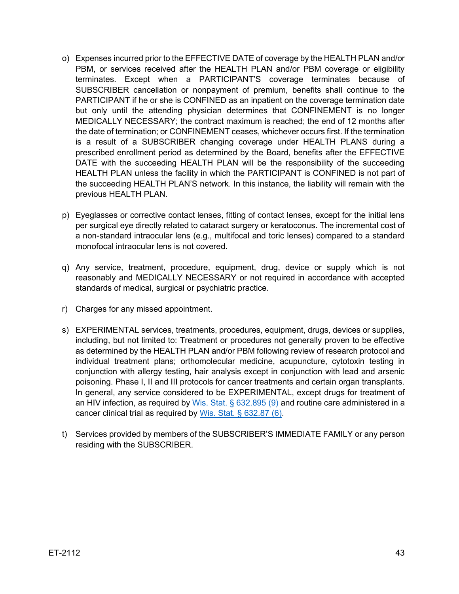- o) Expenses incurred prior to the EFFECTIVE DATE of coverage by the HEALTH PLAN and/or PBM, or services received after the HEALTH PLAN and/or PBM coverage or eligibility terminates. Except when a PARTICIPANT'S coverage terminates because of SUBSCRIBER cancellation or nonpayment of premium, benefits shall continue to the PARTICIPANT if he or she is CONFINED as an inpatient on the coverage termination date but only until the attending physician determines that CONFINEMENT is no longer MEDICALLY NECESSARY; the contract maximum is reached; the end of 12 months after the date of termination; or CONFINEMENT ceases, whichever occurs first. If the termination is a result of a SUBSCRIBER changing coverage under HEALTH PLANS during a prescribed enrollment period as determined by the Board, benefits after the EFFECTIVE DATE with the succeeding HEALTH PLAN will be the responsibility of the succeeding HEALTH PLAN unless the facility in which the PARTICIPANT is CONFINED is not part of the succeeding HEALTH PLAN'S network. In this instance, the liability will remain with the previous HEALTH PLAN.
- p) Eyeglasses or corrective contact lenses, fitting of contact lenses, except for the initial lens per surgical eye directly related to cataract surgery or keratoconus. The incremental cost of a non-standard intraocular lens (e.g., multifocal and toric lenses) compared to a standard monofocal intraocular lens is not covered.
- q) Any service, treatment, procedure, equipment, drug, device or supply which is not reasonably and MEDICALLY NECESSARY or not required in accordance with accepted standards of medical, surgical or psychiatric practice.
- r) Charges for any missed appointment.
- s) EXPERIMENTAL services, treatments, procedures, equipment, drugs, devices or supplies, including, but not limited to: Treatment or procedures not generally proven to be effective as determined by the HEALTH PLAN and/or PBM following review of research protocol and individual treatment plans; orthomolecular medicine, acupuncture, cytotoxin testing in conjunction with allergy testing, hair analysis except in conjunction with lead and arsenic poisoning. Phase I, II and III protocols for cancer treatments and certain organ transplants. In general, any service considered to be EXPERIMENTAL, except drugs for treatment of an HIV infection, as required by Wis. Stat.  $\S$  632.895 (9) and routine care administered in a cancer clinical trial as required by [Wis. Stat. § 632.87 \(6\).](https://docs.legis.wisconsin.gov/document/statutes/632.87(6))
- t) Services provided by members of the SUBSCRIBER'S IMMEDIATE FAMILY or any person residing with the SUBSCRIBER.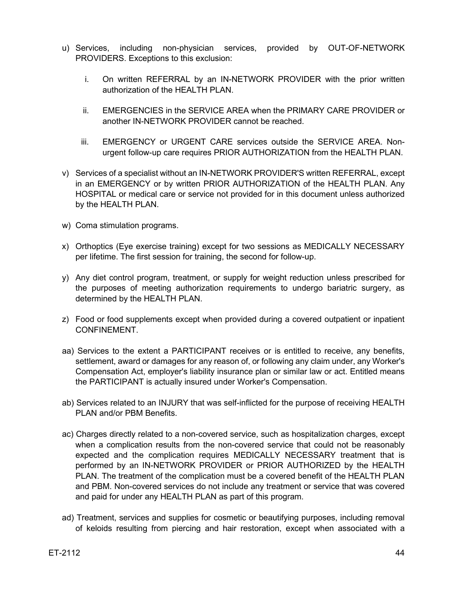- u) Services, including non-physician services, provided by OUT-OF-NETWORK PROVIDERS. Exceptions to this exclusion:
	- i. On written REFERRAL by an IN-NETWORK PROVIDER with the prior written authorization of the HEALTH PLAN.
	- ii. EMERGENCIES in the SERVICE AREA when the PRIMARY CARE PROVIDER or another IN-NETWORK PROVIDER cannot be reached.
	- iii. EMERGENCY or URGENT CARE services outside the SERVICE AREA. Nonurgent follow-up care requires PRIOR AUTHORIZATION from the HEALTH PLAN.
- v) Services of a specialist without an IN-NETWORK PROVIDER'S written REFERRAL, except in an EMERGENCY or by written PRIOR AUTHORIZATION of the HEALTH PLAN. Any HOSPITAL or medical care or service not provided for in this document unless authorized by the HEALTH PLAN.
- w) Coma stimulation programs.
- x) Orthoptics (Eye exercise training) except for two sessions as MEDICALLY NECESSARY per lifetime. The first session for training, the second for follow-up.
- y) Any diet control program, treatment, or supply for weight reduction unless prescribed for the purposes of meeting authorization requirements to undergo bariatric surgery, as determined by the HEALTH PLAN.
- z) Food or food supplements except when provided during a covered outpatient or inpatient CONFINEMENT.
- aa) Services to the extent a PARTICIPANT receives or is entitled to receive, any benefits, settlement, award or damages for any reason of, or following any claim under, any Worker's Compensation Act, employer's liability insurance plan or similar law or act. Entitled means the PARTICIPANT is actually insured under Worker's Compensation.
- ab) Services related to an INJURY that was self-inflicted for the purpose of receiving HEALTH PLAN and/or PBM Benefits.
- ac) Charges directly related to a non-covered service, such as hospitalization charges, except when a complication results from the non-covered service that could not be reasonably expected and the complication requires MEDICALLY NECESSARY treatment that is performed by an IN-NETWORK PROVIDER or PRIOR AUTHORIZED by the HEALTH PLAN. The treatment of the complication must be a covered benefit of the HEALTH PLAN and PBM. Non-covered services do not include any treatment or service that was covered and paid for under any HEALTH PLAN as part of this program.
- ad) Treatment, services and supplies for cosmetic or beautifying purposes, including removal of keloids resulting from piercing and hair restoration, except when associated with a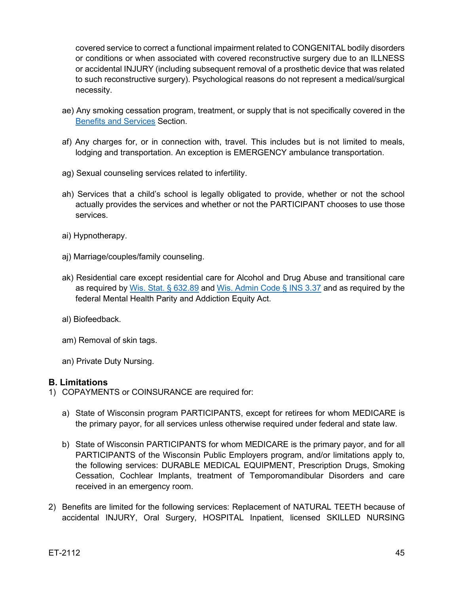covered service to correct a functional impairment related to CONGENITAL bodily disorders or conditions or when associated with covered reconstructive surgery due to an ILLNESS or accidental INJURY (including subsequent removal of a prosthetic device that was related to such reconstructive surgery). Psychological reasons do not represent a medical/surgical necessity.

- ae) Any smoking cessation program, treatment, or supply that is not specifically covered in the [Benefits and Services](#page-15-1) Section.
- af) Any charges for, or in connection with, travel. This includes but is not limited to meals, lodging and transportation. An exception is EMERGENCY ambulance transportation.
- ag) Sexual counseling services related to infertility.
- ah) Services that a child's school is legally obligated to provide, whether or not the school actually provides the services and whether or not the PARTICIPANT chooses to use those services.
- ai) Hypnotherapy.
- aj) Marriage/couples/family counseling.
- ak) Residential care except residential care for Alcohol and Drug Abuse and transitional care as required by [Wis. Stat. § 632.89](https://docs.legis.wisconsin.gov/document/statutes/632.89) and [Wis. Admin Code § INS 3.37](https://docs.legis.wisconsin.gov/code/admin_code/ins/3/37) and as required by the federal Mental Health Parity and Addiction Equity Act.
- al) Biofeedback.
- am) Removal of skin tags.
- an) Private Duty Nursing.

## <span id="page-44-0"></span>**B. Limitations**

- 1) COPAYMENTS or COINSURANCE are required for:
	- a) State of Wisconsin program PARTICIPANTS, except for retirees for whom MEDICARE is the primary payor, for all services unless otherwise required under federal and state law.
	- b) State of Wisconsin PARTICIPANTS for whom MEDICARE is the primary payor, and for all PARTICIPANTS of the Wisconsin Public Employers program, and/or limitations apply to, the following services: DURABLE MEDICAL EQUIPMENT, Prescription Drugs, Smoking Cessation, Cochlear Implants, treatment of Temporomandibular Disorders and care received in an emergency room.
- 2) Benefits are limited for the following services: Replacement of NATURAL TEETH because of accidental INJURY, Oral Surgery, HOSPITAL Inpatient, licensed SKILLED NURSING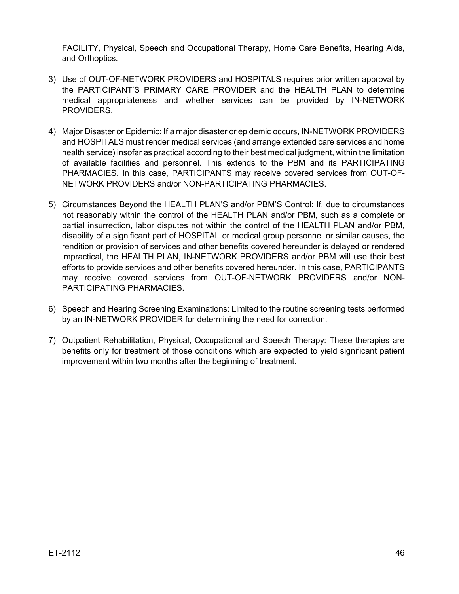FACILITY, Physical, Speech and Occupational Therapy, Home Care Benefits, Hearing Aids, and Orthoptics.

- 3) Use of OUT-OF-NETWORK PROVIDERS and HOSPITALS requires prior written approval by the PARTICIPANT'S PRIMARY CARE PROVIDER and the HEALTH PLAN to determine medical appropriateness and whether services can be provided by IN-NETWORK PROVIDERS.
- 4) Major Disaster or Epidemic: If a major disaster or epidemic occurs, IN-NETWORK PROVIDERS and HOSPITALS must render medical services (and arrange extended care services and home health service) insofar as practical according to their best medical judgment, within the limitation of available facilities and personnel. This extends to the PBM and its PARTICIPATING PHARMACIES. In this case, PARTICIPANTS may receive covered services from OUT-OF-NETWORK PROVIDERS and/or NON-PARTICIPATING PHARMACIES.
- 5) Circumstances Beyond the HEALTH PLAN'S and/or PBM'S Control: If, due to circumstances not reasonably within the control of the HEALTH PLAN and/or PBM, such as a complete or partial insurrection, labor disputes not within the control of the HEALTH PLAN and/or PBM, disability of a significant part of HOSPITAL or medical group personnel or similar causes, the rendition or provision of services and other benefits covered hereunder is delayed or rendered impractical, the HEALTH PLAN, IN-NETWORK PROVIDERS and/or PBM will use their best efforts to provide services and other benefits covered hereunder. In this case, PARTICIPANTS may receive covered services from OUT-OF-NETWORK PROVIDERS and/or NON-PARTICIPATING PHARMACIES.
- 6) Speech and Hearing Screening Examinations: Limited to the routine screening tests performed by an IN-NETWORK PROVIDER for determining the need for correction.
- 7) Outpatient Rehabilitation, Physical, Occupational and Speech Therapy: These therapies are benefits only for treatment of those conditions which are expected to yield significant patient improvement within two months after the beginning of treatment.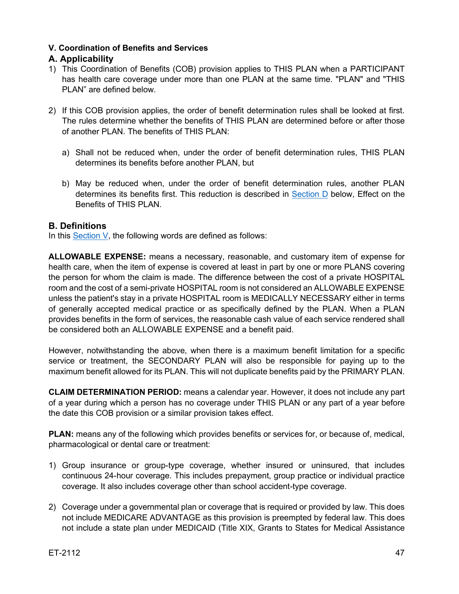#### <span id="page-46-0"></span>**V. Coordination of Benefits and Services**

## <span id="page-46-1"></span>**A. Applicability**

- 1) This Coordination of Benefits (COB) provision applies to THIS PLAN when a PARTICIPANT has health care coverage under more than one PLAN at the same time. "PLAN" and "THIS PLAN" are defined below.
- 2) If this COB provision applies, the order of benefit determination rules shall be looked at first. The rules determine whether the benefits of THIS PLAN are determined before or after those of another PLAN. The benefits of THIS PLAN:
	- a) Shall not be reduced when, under the order of benefit determination rules, THIS PLAN determines its benefits before another PLAN, but
	- b) May be reduced when, under the order of benefit determination rules, another PLAN determines its benefits first. This reduction is described in [Section D](#page-49-0) below, Effect on the Benefits of THIS PLAN.

#### <span id="page-46-2"></span>**B. Definitions**

In this [Section](#page-46-0) V, the following words are defined as follows:

**ALLOWABLE EXPENSE:** means a necessary, reasonable, and customary item of expense for health care, when the item of expense is covered at least in part by one or more PLANS covering the person for whom the claim is made. The difference between the cost of a private HOSPITAL room and the cost of a semi-private HOSPITAL room is not considered an ALLOWABLE EXPENSE unless the patient's stay in a private HOSPITAL room is MEDICALLY NECESSARY either in terms of generally accepted medical practice or as specifically defined by the PLAN. When a PLAN provides benefits in the form of services, the reasonable cash value of each service rendered shall be considered both an ALLOWABLE EXPENSE and a benefit paid.

However, notwithstanding the above, when there is a maximum benefit limitation for a specific service or treatment, the SECONDARY PLAN will also be responsible for paying up to the maximum benefit allowed for its PLAN. This will not duplicate benefits paid by the PRIMARY PLAN.

**CLAIM DETERMINATION PERIOD:** means a calendar year. However, it does not include any part of a year during which a person has no coverage under THIS PLAN or any part of a year before the date this COB provision or a similar provision takes effect.

**PLAN:** means any of the following which provides benefits or services for, or because of, medical, pharmacological or dental care or treatment:

- 1) Group insurance or group-type coverage, whether insured or uninsured, that includes continuous 24-hour coverage. This includes prepayment, group practice or individual practice coverage. It also includes coverage other than school accident-type coverage.
- 2) Coverage under a governmental plan or coverage that is required or provided by law. This does not include MEDICARE ADVANTAGE as this provision is preempted by federal law. This does not include a state plan under MEDICAID (Title XIX, Grants to States for Medical Assistance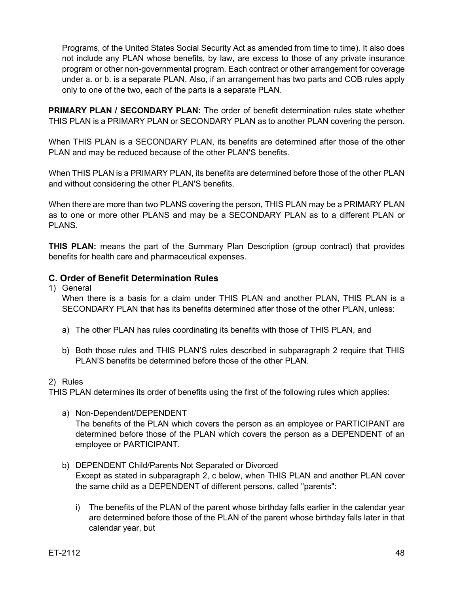Programs, of the United States Social Security Act as amended from time to time). It also does not include any PLAN whose benefits, by law, are excess to those of any private insurance program or other non-governmental program. Each contract or other arrangement for coverage under a. or b. is a separate PLAN. Also, if an arrangement has two parts and COB rules apply only to one of the two, each of the parts is a separate PLAN.

**PRIMARY PLAN / SECONDARY PLAN:** The order of benefit determination rules state whether THIS PLAN is a PRIMARY PLAN or SECONDARY PLAN as to another PLAN covering the person.

When THIS PLAN is a SECONDARY PLAN, its benefits are determined after those of the other PLAN and may be reduced because of the other PLAN'S benefits.

When THIS PLAN is a PRIMARY PLAN, its benefits are determined before those of the other PLAN and without considering the other PLAN'S benefits.

When there are more than two PLANS covering the person, THIS PLAN may be a PRIMARY PLAN as to one or more other PLANS and may be a SECONDARY PLAN as to a different PLAN or PLANS.

**THIS PLAN:** means the part of the Summary Plan Description (group contract) that provides benefits for health care and pharmaceutical expenses.

## <span id="page-47-0"></span>**C. Order of Benefit Determination Rules**

1) General

When there is a basis for a claim under THIS PLAN and another PLAN, THIS PLAN is a SECONDARY PLAN that has its benefits determined after those of the other PLAN, unless:

- a) The other PLAN has rules coordinating its benefits with those of THIS PLAN, and
- b) Both those rules and THIS PLAN'S rules described in subparagraph 2 require that THIS PLAN'S benefits be determined before those of the other PLAN.
- 2) Rules

THIS PLAN determines its order of benefits using the first of the following rules which applies:

- a) Non-Dependent/DEPENDENT The benefits of the PLAN which covers the person as an employee or PARTICIPANT are determined before those of the PLAN which covers the person as a DEPENDENT of an employee or PARTICIPANT.
- b) DEPENDENT Child/Parents Not Separated or Divorced Except as stated in subparagraph 2, c below, when THIS PLAN and another PLAN cover the same child as a DEPENDENT of different persons, called "parents":
	- i) The benefits of the PLAN of the parent whose birthday falls earlier in the calendar year are determined before those of the PLAN of the parent whose birthday falls later in that calendar year, but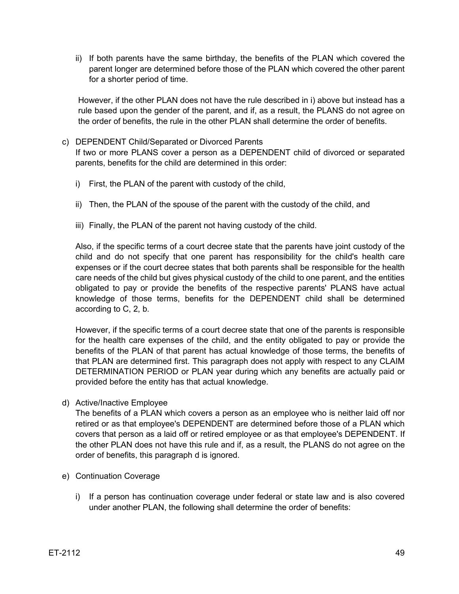ii) If both parents have the same birthday, the benefits of the PLAN which covered the parent longer are determined before those of the PLAN which covered the other parent for a shorter period of time.

However, if the other PLAN does not have the rule described in i) above but instead has a rule based upon the gender of the parent, and if, as a result, the PLANS do not agree on the order of benefits, the rule in the other PLAN shall determine the order of benefits.

- c) DEPENDENT Child/Separated or Divorced Parents If two or more PLANS cover a person as a DEPENDENT child of divorced or separated parents, benefits for the child are determined in this order:
	- i) First, the PLAN of the parent with custody of the child,
	- ii) Then, the PLAN of the spouse of the parent with the custody of the child, and
	- iii) Finally, the PLAN of the parent not having custody of the child.

Also, if the specific terms of a court decree state that the parents have joint custody of the child and do not specify that one parent has responsibility for the child's health care expenses or if the court decree states that both parents shall be responsible for the health care needs of the child but gives physical custody of the child to one parent, and the entities obligated to pay or provide the benefits of the respective parents' PLANS have actual knowledge of those terms, benefits for the DEPENDENT child shall be determined according to C, 2, b.

However, if the specific terms of a court decree state that one of the parents is responsible for the health care expenses of the child, and the entity obligated to pay or provide the benefits of the PLAN of that parent has actual knowledge of those terms, the benefits of that PLAN are determined first. This paragraph does not apply with respect to any CLAIM DETERMINATION PERIOD or PLAN year during which any benefits are actually paid or provided before the entity has that actual knowledge.

d) Active/Inactive Employee

The benefits of a PLAN which covers a person as an employee who is neither laid off nor retired or as that employee's DEPENDENT are determined before those of a PLAN which covers that person as a laid off or retired employee or as that employee's DEPENDENT. If the other PLAN does not have this rule and if, as a result, the PLANS do not agree on the order of benefits, this paragraph d is ignored.

- e) Continuation Coverage
	- i) If a person has continuation coverage under federal or state law and is also covered under another PLAN, the following shall determine the order of benefits: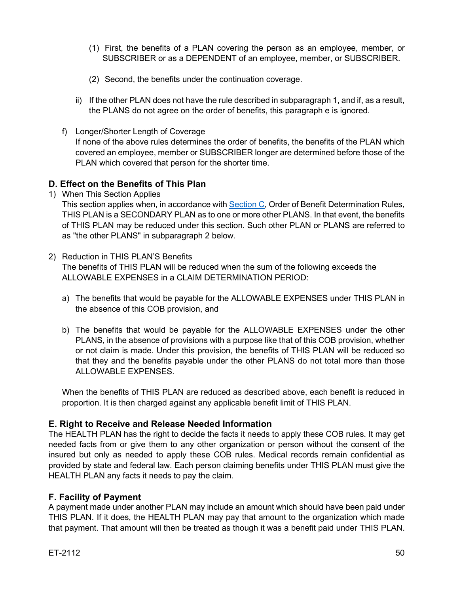- (1) First, the benefits of a PLAN covering the person as an employee, member, or SUBSCRIBER or as a DEPENDENT of an employee, member, or SUBSCRIBER.
- (2) Second, the benefits under the continuation coverage.
- ii) If the other PLAN does not have the rule described in subparagraph 1, and if, as a result, the PLANS do not agree on the order of benefits, this paragraph e is ignored.
- f) Longer/Shorter Length of Coverage If none of the above rules determines the order of benefits, the benefits of the PLAN which covered an employee, member or SUBSCRIBER longer are determined before those of the PLAN which covered that person for the shorter time.

## <span id="page-49-0"></span>**D. Effect on the Benefits of This Plan**

1) When This Section Applies

This section applies when, in accordance wit[h Section C,](#page-47-0) Order of Benefit Determination Rules, THIS PLAN is a SECONDARY PLAN as to one or more other PLANS. In that event, the benefits of THIS PLAN may be reduced under this section. Such other PLAN or PLANS are referred to as "the other PLANS" in subparagraph 2 below.

- 2) Reduction in THIS PLAN'S Benefits The benefits of THIS PLAN will be reduced when the sum of the following exceeds the ALLOWABLE EXPENSES in a CLAIM DETERMINATION PERIOD:
	- a) The benefits that would be payable for the ALLOWABLE EXPENSES under THIS PLAN in the absence of this COB provision, and
	- b) The benefits that would be payable for the ALLOWABLE EXPENSES under the other PLANS, in the absence of provisions with a purpose like that of this COB provision, whether or not claim is made. Under this provision, the benefits of THIS PLAN will be reduced so that they and the benefits payable under the other PLANS do not total more than those ALLOWABLE EXPENSES.

When the benefits of THIS PLAN are reduced as described above, each benefit is reduced in proportion. It is then charged against any applicable benefit limit of THIS PLAN.

## <span id="page-49-1"></span>**E. Right to Receive and Release Needed Information**

The HEALTH PLAN has the right to decide the facts it needs to apply these COB rules. It may get needed facts from or give them to any other organization or person without the consent of the insured but only as needed to apply these COB rules. Medical records remain confidential as provided by state and federal law. Each person claiming benefits under THIS PLAN must give the HEALTH PLAN any facts it needs to pay the claim.

## <span id="page-49-2"></span>**F. Facility of Payment**

A payment made under another PLAN may include an amount which should have been paid under THIS PLAN. If it does, the HEALTH PLAN may pay that amount to the organization which made that payment. That amount will then be treated as though it was a benefit paid under THIS PLAN.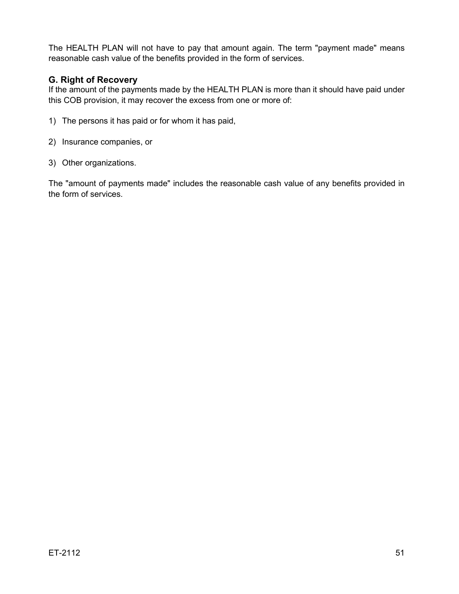The HEALTH PLAN will not have to pay that amount again. The term "payment made" means reasonable cash value of the benefits provided in the form of services.

## <span id="page-50-0"></span>**G. Right of Recovery**

If the amount of the payments made by the HEALTH PLAN is more than it should have paid under this COB provision, it may recover the excess from one or more of:

- 1) The persons it has paid or for whom it has paid,
- 2) Insurance companies, or
- 3) Other organizations.

The "amount of payments made" includes the reasonable cash value of any benefits provided in the form of services.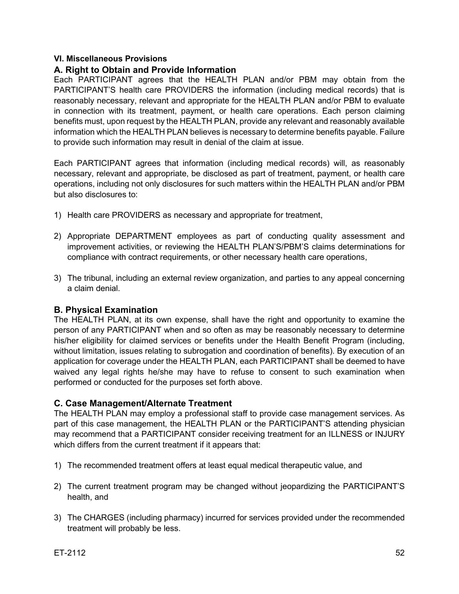#### <span id="page-51-0"></span>**VI. Miscellaneous Provisions**

#### <span id="page-51-1"></span>**A. Right to Obtain and Provide Information**

Each PARTICIPANT agrees that the HEALTH PLAN and/or PBM may obtain from the PARTICIPANT'S health care PROVIDERS the information (including medical records) that is reasonably necessary, relevant and appropriate for the HEALTH PLAN and/or PBM to evaluate in connection with its treatment, payment, or health care operations. Each person claiming benefits must, upon request by the HEALTH PLAN, provide any relevant and reasonably available information which the HEALTH PLAN believes is necessary to determine benefits payable. Failure to provide such information may result in denial of the claim at issue.

Each PARTICIPANT agrees that information (including medical records) will, as reasonably necessary, relevant and appropriate, be disclosed as part of treatment, payment, or health care operations, including not only disclosures for such matters within the HEALTH PLAN and/or PBM but also disclosures to:

- 1) Health care PROVIDERS as necessary and appropriate for treatment,
- 2) Appropriate DEPARTMENT employees as part of conducting quality assessment and improvement activities, or reviewing the HEALTH PLAN'S/PBM'S claims determinations for compliance with contract requirements, or other necessary health care operations,
- 3) The tribunal, including an external review organization, and parties to any appeal concerning a claim denial.

#### <span id="page-51-2"></span>**B. Physical Examination**

The HEALTH PLAN, at its own expense, shall have the right and opportunity to examine the person of any PARTICIPANT when and so often as may be reasonably necessary to determine his/her eligibility for claimed services or benefits under the Health Benefit Program (including, without limitation, issues relating to subrogation and coordination of benefits). By execution of an application for coverage under the HEALTH PLAN, each PARTICIPANT shall be deemed to have waived any legal rights he/she may have to refuse to consent to such examination when performed or conducted for the purposes set forth above.

#### <span id="page-51-3"></span>**C. Case Management/Alternate Treatment**

The HEALTH PLAN may employ a professional staff to provide case management services. As part of this case management, the HEALTH PLAN or the PARTICIPANT'S attending physician may recommend that a PARTICIPANT consider receiving treatment for an ILLNESS or INJURY which differs from the current treatment if it appears that:

- 1) The recommended treatment offers at least equal medical therapeutic value, and
- 2) The current treatment program may be changed without jeopardizing the PARTICIPANT'S health, and
- 3) The CHARGES (including pharmacy) incurred for services provided under the recommended treatment will probably be less.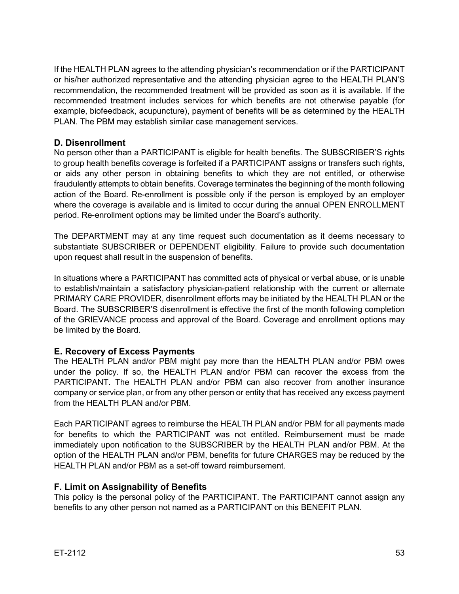If the HEALTH PLAN agrees to the attending physician's recommendation or if the PARTICIPANT or his/her authorized representative and the attending physician agree to the HEALTH PLAN'S recommendation, the recommended treatment will be provided as soon as it is available. If the recommended treatment includes services for which benefits are not otherwise payable (for example, biofeedback, acupuncture), payment of benefits will be as determined by the HEALTH PLAN. The PBM may establish similar case management services.

## <span id="page-52-0"></span>**D. Disenrollment**

No person other than a PARTICIPANT is eligible for health benefits. The SUBSCRIBER'S rights to group health benefits coverage is forfeited if a PARTICIPANT assigns or transfers such rights, or aids any other person in obtaining benefits to which they are not entitled, or otherwise fraudulently attempts to obtain benefits. Coverage terminates the beginning of the month following action of the Board. Re-enrollment is possible only if the person is employed by an employer where the coverage is available and is limited to occur during the annual OPEN ENROLLMENT period. Re-enrollment options may be limited under the Board's authority.

The DEPARTMENT may at any time request such documentation as it deems necessary to substantiate SUBSCRIBER or DEPENDENT eligibility. Failure to provide such documentation upon request shall result in the suspension of benefits.

In situations where a PARTICIPANT has committed acts of physical or verbal abuse, or is unable to establish/maintain a satisfactory physician-patient relationship with the current or alternate PRIMARY CARE PROVIDER, disenrollment efforts may be initiated by the HEALTH PLAN or the Board. The SUBSCRIBER'S disenrollment is effective the first of the month following completion of the GRIEVANCE process and approval of the Board. Coverage and enrollment options may be limited by the Board.

## <span id="page-52-1"></span>**E. Recovery of Excess Payments**

The HEALTH PLAN and/or PBM might pay more than the HEALTH PLAN and/or PBM owes under the policy. If so, the HEALTH PLAN and/or PBM can recover the excess from the PARTICIPANT. The HEALTH PLAN and/or PBM can also recover from another insurance company or service plan, or from any other person or entity that has received any excess payment from the HEALTH PLAN and/or PBM.

Each PARTICIPANT agrees to reimburse the HEALTH PLAN and/or PBM for all payments made for benefits to which the PARTICIPANT was not entitled. Reimbursement must be made immediately upon notification to the SUBSCRIBER by the HEALTH PLAN and/or PBM. At the option of the HEALTH PLAN and/or PBM, benefits for future CHARGES may be reduced by the HEALTH PLAN and/or PBM as a set-off toward reimbursement.

## <span id="page-52-2"></span>**F. Limit on Assignability of Benefits**

This policy is the personal policy of the PARTICIPANT. The PARTICIPANT cannot assign any benefits to any other person not named as a PARTICIPANT on this BENEFIT PLAN.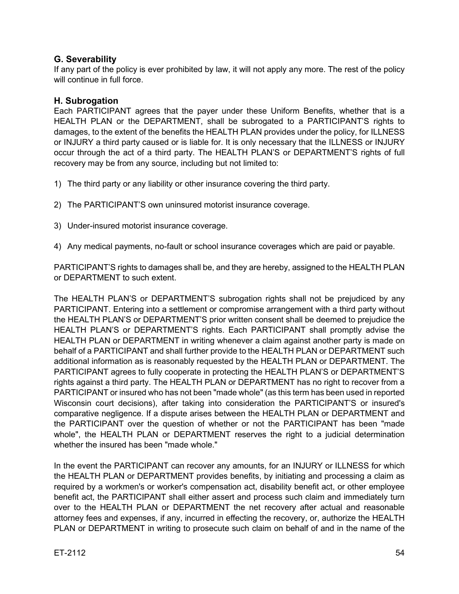## <span id="page-53-0"></span>**G. Severability**

If any part of the policy is ever prohibited by law, it will not apply any more. The rest of the policy will continue in full force.

#### <span id="page-53-1"></span>**H. Subrogation**

Each PARTICIPANT agrees that the payer under these Uniform Benefits, whether that is a HEALTH PLAN or the DEPARTMENT, shall be subrogated to a PARTICIPANT'S rights to damages, to the extent of the benefits the HEALTH PLAN provides under the policy, for ILLNESS or INJURY a third party caused or is liable for. It is only necessary that the ILLNESS or INJURY occur through the act of a third party. The HEALTH PLAN'S or DEPARTMENT'S rights of full recovery may be from any source, including but not limited to:

- 1) The third party or any liability or other insurance covering the third party.
- 2) The PARTICIPANT'S own uninsured motorist insurance coverage.
- 3) Under-insured motorist insurance coverage.
- 4) Any medical payments, no-fault or school insurance coverages which are paid or payable.

PARTICIPANT'S rights to damages shall be, and they are hereby, assigned to the HEALTH PLAN or DEPARTMENT to such extent.

The HEALTH PLAN'S or DEPARTMENT'S subrogation rights shall not be prejudiced by any PARTICIPANT. Entering into a settlement or compromise arrangement with a third party without the HEALTH PLAN'S or DEPARTMENT'S prior written consent shall be deemed to prejudice the HEALTH PLAN'S or DEPARTMENT'S rights. Each PARTICIPANT shall promptly advise the HEALTH PLAN or DEPARTMENT in writing whenever a claim against another party is made on behalf of a PARTICIPANT and shall further provide to the HEALTH PLAN or DEPARTMENT such additional information as is reasonably requested by the HEALTH PLAN or DEPARTMENT. The PARTICIPANT agrees to fully cooperate in protecting the HEALTH PLAN'S or DEPARTMENT'S rights against a third party. The HEALTH PLAN or DEPARTMENT has no right to recover from a PARTICIPANT or insured who has not been "made whole" (as this term has been used in reported Wisconsin court decisions), after taking into consideration the PARTICIPANT'S or insured's comparative negligence. If a dispute arises between the HEALTH PLAN or DEPARTMENT and the PARTICIPANT over the question of whether or not the PARTICIPANT has been "made whole", the HEALTH PLAN or DEPARTMENT reserves the right to a judicial determination whether the insured has been "made whole."

In the event the PARTICIPANT can recover any amounts, for an INJURY or ILLNESS for which the HEALTH PLAN or DEPARTMENT provides benefits, by initiating and processing a claim as required by a workmen's or worker's compensation act, disability benefit act, or other employee benefit act, the PARTICIPANT shall either assert and process such claim and immediately turn over to the HEALTH PLAN or DEPARTMENT the net recovery after actual and reasonable attorney fees and expenses, if any, incurred in effecting the recovery, or, authorize the HEALTH PLAN or DEPARTMENT in writing to prosecute such claim on behalf of and in the name of the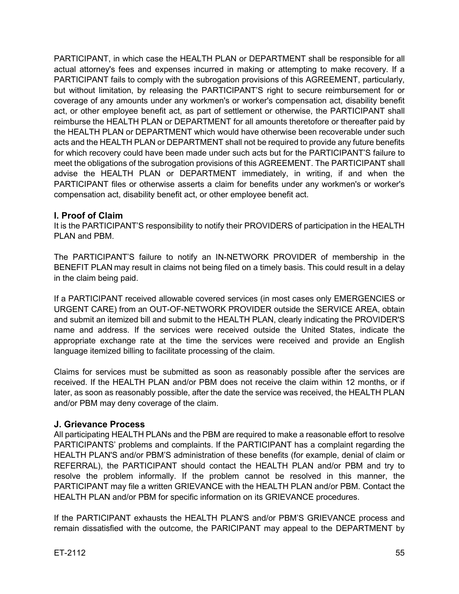PARTICIPANT, in which case the HEALTH PLAN or DEPARTMENT shall be responsible for all actual attorney's fees and expenses incurred in making or attempting to make recovery. If a PARTICIPANT fails to comply with the subrogation provisions of this AGREEMENT, particularly, but without limitation, by releasing the PARTICIPANT'S right to secure reimbursement for or coverage of any amounts under any workmen's or worker's compensation act, disability benefit act, or other employee benefit act, as part of settlement or otherwise, the PARTICIPANT shall reimburse the HEALTH PLAN or DEPARTMENT for all amounts theretofore or thereafter paid by the HEALTH PLAN or DEPARTMENT which would have otherwise been recoverable under such acts and the HEALTH PLAN or DEPARTMENT shall not be required to provide any future benefits for which recovery could have been made under such acts but for the PARTICIPANT'S failure to meet the obligations of the subrogation provisions of this AGREEMENT. The PARTICIPANT shall advise the HEALTH PLAN or DEPARTMENT immediately, in writing, if and when the PARTICIPANT files or otherwise asserts a claim for benefits under any workmen's or worker's compensation act, disability benefit act, or other employee benefit act.

## <span id="page-54-0"></span>**I. Proof of Claim**

It is the PARTICIPANT'S responsibility to notify their PROVIDERS of participation in the HEALTH PLAN and PBM.

The PARTICIPANT'S failure to notify an IN-NETWORK PROVIDER of membership in the BENEFIT PLAN may result in claims not being filed on a timely basis. This could result in a delay in the claim being paid.

If a PARTICIPANT received allowable covered services (in most cases only EMERGENCIES or URGENT CARE) from an OUT-OF-NETWORK PROVIDER outside the SERVICE AREA, obtain and submit an itemized bill and submit to the HEALTH PLAN, clearly indicating the PROVIDER'S name and address. If the services were received outside the United States, indicate the appropriate exchange rate at the time the services were received and provide an English language itemized billing to facilitate processing of the claim.

Claims for services must be submitted as soon as reasonably possible after the services are received. If the HEALTH PLAN and/or PBM does not receive the claim within 12 months, or if later, as soon as reasonably possible, after the date the service was received, the HEALTH PLAN and/or PBM may deny coverage of the claim.

## <span id="page-54-1"></span>**J. Grievance Process**

All participating HEALTH PLANs and the PBM are required to make a reasonable effort to resolve PARTICIPANTS' problems and complaints. If the PARTICIPANT has a complaint regarding the HEALTH PLAN'S and/or PBM'S administration of these benefits (for example, denial of claim or REFERRAL), the PARTICIPANT should contact the HEALTH PLAN and/or PBM and try to resolve the problem informally. If the problem cannot be resolved in this manner, the PARTICIPANT may file a written GRIEVANCE with the HEALTH PLAN and/or PBM. Contact the HEALTH PLAN and/or PBM for specific information on its GRIEVANCE procedures.

If the PARTICIPANT exhausts the HEALTH PLAN'S and/or PBM'S GRIEVANCE process and remain dissatisfied with the outcome, the PARICIPANT may appeal to the DEPARTMENT by